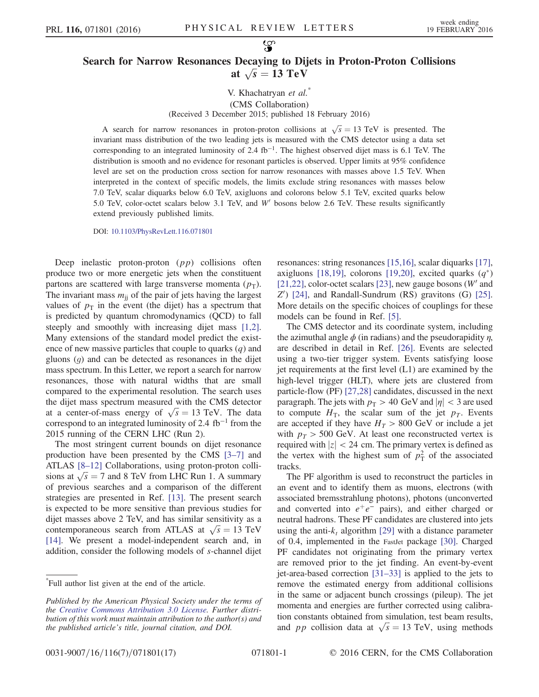## $\text{at } \sqrt{s} = 13 \text{ TeV}$

V. Khachatryan et al. (CMS Collaboration) (Received 3 December 2015; published 18 February 2016)

A search for narrow resonances in proton-proton collisions at  $\sqrt{s} = 13 \text{ TeV}$  is presented. The invariant mass distribution of the two leading jets is measured with the CMS detector using a data set corresponding to an integrated luminosity of 2.4 fb<sup>-1</sup>. The highest observed dijet mass is 6.1 TeV. The distribution is smooth and no evidence for resonant particles is observed. Upper limits at 95% confidence level are set on the production cross section for narrow resonances with masses above 1.5 TeV. When interpreted in the context of specific models, the limits exclude string resonances with masses below 7.0 TeV, scalar diquarks below 6.0 TeV, axigluons and colorons below 5.1 TeV, excited quarks below 5.0 TeV, color-octet scalars below 3.1 TeV, and  $W'$  bosons below 2.6 TeV. These results significantly extend previously published limits.

DOI: [10.1103/PhysRevLett.116.071801](http://dx.doi.org/10.1103/PhysRevLett.116.071801)

Deep inelastic proton-proton  $(pp)$  collisions often produce two or more energetic jets when the constituent partons are scattered with large transverse momenta  $(p_T)$ . The invariant mass  $m_{ij}$  of the pair of jets having the largest values of  $p<sub>T</sub>$  in the event (the dijet) has a spectrum that is predicted by quantum chromodynamics (QCD) to fall steeply and smoothly with increasing dijet mass [\[1,2\]](#page-4-0). Many extensions of the standard model predict the existence of new massive particles that couple to quarks  $(q)$  and gluons  $(q)$  and can be detected as resonances in the dijet mass spectrum. In this Letter, we report a search for narrow resonances, those with natural widths that are small compared to the experimental resolution. The search uses the dijet mass spectrum measured with the CMS detector at a center-of-mass energy of  $\sqrt{s} = 13$  TeV. The data correspond to an integrated luminosity of 2.4 fb−<sup>1</sup> from the 2015 running of the CERN LHC (Run 2).

The most stringent current bounds on dijet resonance production have been presented by the CMS [3–[7\]](#page-4-1) and ATLAS [8–[12\]](#page-4-2) Collaborations, using proton-proton collisions at  $\sqrt{s}$  = 7 and 8 TeV from LHC Run 1. A summary of previous searches and a comparison of the different strategies are presented in Ref. [\[13\]](#page-4-3). The present search is expected to be more sensitive than previous studies for dijet masses above 2 TeV, and has similar sensitivity as a contemporaneous search from ATLAS at  $\sqrt{s} = 13$  TeV [\[14\]](#page-4-4). We present a model-independent search and, in addition, consider the following models of s-channel dijet resonances: string resonances [\[15,16\]](#page-5-0), scalar diquarks [\[17\]](#page-5-1), axigluons [\[18,19\],](#page-5-2) colorons [\[19,20\],](#page-5-3) excited quarks  $(q^*)$ [\[21,22\]](#page-5-4), color-octet scalars [\[23\],](#page-5-5) new gauge bosons  $(W'$  and  $Z'$ ) [\[24\]](#page-5-6), and Randall-Sundrum (RS) gravitons (G) [\[25\]](#page-5-7). More details on the specific choices of couplings for these models can be found in Ref. [\[5\]](#page-4-5).

The CMS detector and its coordinate system, including the azimuthal angle  $\phi$  (in radians) and the pseudorapidity  $\eta$ , are described in detail in Ref. [\[26\]](#page-5-8). Events are selected using a two-tier trigger system. Events satisfying loose jet requirements at the first level (L1) are examined by the high-level trigger (HLT), where jets are clustered from particle-flow (PF) [\[27,28\]](#page-5-9) candidates, discussed in the next paragraph. The jets with  $p_T > 40$  GeV and  $|\eta| < 3$  are used to compute  $H_T$ , the scalar sum of the jet  $p_T$ . Events are accepted if they have  $H_T > 800$  GeV or include a jet with  $p_T > 500$  GeV. At least one reconstructed vertex is required with  $|z| < 24$  cm. The primary vertex is defined as the vertex with the highest sum of  $p_T^2$  of the associated tracks.

The PF algorithm is used to reconstruct the particles in an event and to identify them as muons, electrons (with associated bremsstrahlung photons), photons (unconverted and converted into  $e^+e^-$  pairs), and either charged or neutral hadrons. These PF candidates are clustered into jets using the anti- $k_t$  algorithm [\[29\]](#page-5-10) with a distance parameter of 0.4, implemented in the FastJet package [\[30\].](#page-5-11) Charged PF candidates not originating from the primary vertex are removed prior to the jet finding. An event-by-event jet-area-based correction [31–[33\]](#page-5-12) is applied to the jets to remove the estimated energy from additional collisions in the same or adjacent bunch crossings (pileup). The jet momenta and energies are further corrected using calibration constants obtained from simulation, test beam results, and pp collision data at  $\sqrt{s} = 13$  TeV, using methods

<sup>\*</sup> Full author list given at the end of the article.

Published by the American Physical Society under the terms of the [Creative Commons Attribution 3.0 License.](http://creativecommons.org/licenses/by/3.0/) Further distribution of this work must maintain attribution to the author(s) and the published article's title, journal citation, and DOI.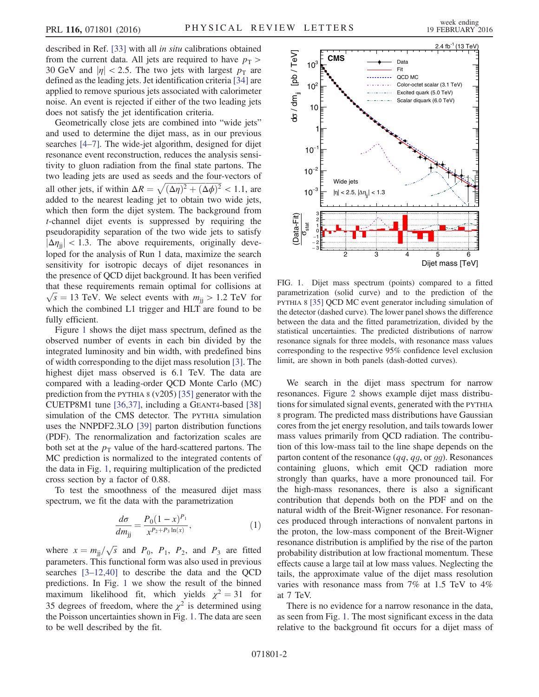described in Ref. [\[33\]](#page-5-13) with all in situ calibrations obtained from the current data. All jets are required to have  $p_T >$ 30 GeV and  $|\eta|$  < 2.5. The two jets with largest  $p<sub>T</sub>$  are defined as the leading jets. Jet identification criteria [\[34\]](#page-5-14) are applied to remove spurious jets associated with calorimeter noise. An event is rejected if either of the two leading jets does not satisfy the jet identification criteria.

Geometrically close jets are combined into "wide jets" and used to determine the dijet mass, as in our previous searches [4–[7\]](#page-4-6). The wide-jet algorithm, designed for dijet resonance event reconstruction, reduces the analysis sensitivity to gluon radiation from the final state partons. The two leading jets are used as seeds and the four-vectors of all other jets, if within  $\Delta R = \sqrt{(\Delta \eta)^2 + (\Delta \phi)^2} < 1.1$ , are added to the nearest leading jet to obtain two wide jets, which then form the dijet system. The background from t-channel dijet events is suppressed by requiring the pseudorapidity separation of the two wide jets to satisfy  $|\Delta \eta_{ii}|$  < 1.3. The above requirements, originally developed for the analysis of Run 1 data, maximize the search sensitivity for isotropic decays of dijet resonances in the presence of QCD dijet background. It has been verified that these requirements remain optimal for collisions at  $\sqrt{s}$  = 13 TeV. We select events with  $m_{jj}$  > 1.2 TeV for which the combined L1 trigger and HLT are found to be fully efficient.

Figure [1](#page-1-0) shows the dijet mass spectrum, defined as the observed number of events in each bin divided by the integrated luminosity and bin width, with predefined bins of width corresponding to the dijet mass resolution [\[3\].](#page-4-1) The highest dijet mass observed is 6.1 TeV. The data are compared with a leading-order QCD Monte Carlo (MC) prediction from the PYTHIA 8 (v205) [\[35\]](#page-5-15) generator with the CUETP8M1 tune [\[36,37\]](#page-5-16), including a GEANT4-based [\[38\]](#page-5-17) simulation of the CMS detector. The PYTHIA simulation uses the NNPDF2.3LO [\[39\]](#page-5-18) parton distribution functions (PDF). The renormalization and factorization scales are both set at the  $p<sub>T</sub>$  value of the hard-scattered partons. The MC prediction is normalized to the integrated contents of the data in Fig. [1,](#page-1-0) requiring multiplication of the predicted cross section by a factor of 0.88.

To test the smoothness of the measured dijet mass spectrum, we fit the data with the parametrization

$$
\frac{d\sigma}{dm_{jj}} = \frac{P_0(1-x)^{P_1}}{x^{P_2 + P_3 \ln(x)}},\tag{1}
$$

where  $x = m_{jj}/\sqrt{s}$  and  $P_0$ ,  $P_1$ ,  $P_2$ , and  $P_3$  are fitted parameters. This functional form was also used in previous searches [3–[12,40\]](#page-4-1) to describe the data and the QCD predictions. In Fig. [1](#page-1-0) we show the result of the binned maximum likelihood fit, which yields  $\chi^2 = 31$  for 35 degrees of freedom, where the  $\chi^2$  is determined using the Poisson uncertainties shown in Fig. [1.](#page-1-0) The data are seen to be well described by the fit.

<span id="page-1-0"></span>

FIG. 1. Dijet mass spectrum (points) compared to a fitted parametrization (solid curve) and to the prediction of the PYTHIA 8 [\[35\]](#page-5-15) QCD MC event generator including simulation of the detector (dashed curve). The lower panel shows the difference between the data and the fitted parametrization, divided by the statistical uncertainties. The predicted distributions of narrow resonance signals for three models, with resonance mass values corresponding to the respective 95% confidence level exclusion limit, are shown in both panels (dash-dotted curves).

We search in the dijet mass spectrum for narrow resonances. Figure [2](#page-2-0) shows example dijet mass distributions for simulated signal events, generated with the PYTHIA 8 program. The predicted mass distributions have Gaussian cores from the jet energy resolution, and tails towards lower mass values primarily from QCD radiation. The contribution of this low-mass tail to the line shape depends on the parton content of the resonance  $(qq, qq, or qq)$ . Resonances containing gluons, which emit QCD radiation more strongly than quarks, have a more pronounced tail. For the high-mass resonances, there is also a significant contribution that depends both on the PDF and on the natural width of the Breit-Wigner resonance. For resonances produced through interactions of nonvalent partons in the proton, the low-mass component of the Breit-Wigner resonance distribution is amplified by the rise of the parton probability distribution at low fractional momentum. These effects cause a large tail at low mass values. Neglecting the tails, the approximate value of the dijet mass resolution varies with resonance mass from 7% at 1.5 TeV to 4% at 7 TeV.

There is no evidence for a narrow resonance in the data, as seen from Fig. [1](#page-1-0). The most significant excess in the data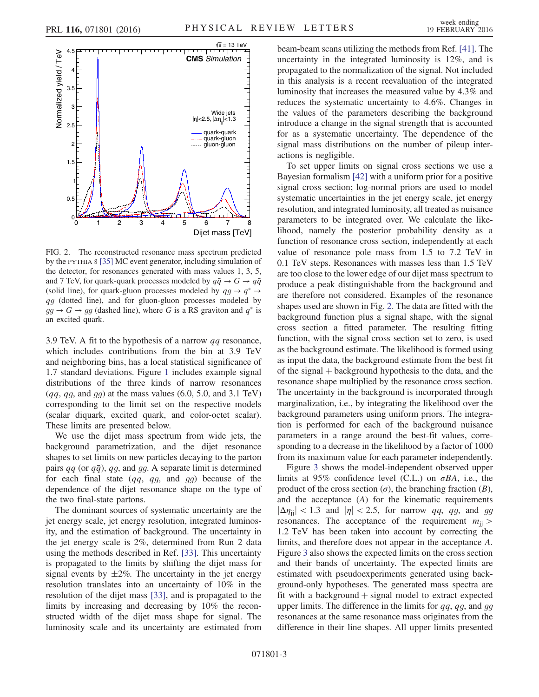<span id="page-2-0"></span>

FIG. 2. The reconstructed resonance mass spectrum predicted by the PYTHIA 8 [\[35\]](#page-5-15) MC event generator, including simulation of the detector, for resonances generated with mass values 1, 3, 5, and 7 TeV, for quark-quark processes modeled by  $q\bar{q} \rightarrow G \rightarrow q\bar{q}$ (solid line), for quark-gluon processes modeled by  $qg \to q^* \to$ qg (dotted line), and for gluon-gluon processes modeled by  $gg \to G \to gg$  (dashed line), where G is a RS graviton and  $q^*$  is an excited quark.

3.9 TeV. A fit to the hypothesis of a narrow  $qq$  resonance, which includes contributions from the bin at 3.9 TeV and neighboring bins, has a local statistical significance of 1.7 standard deviations. Figure [1](#page-1-0) includes example signal distributions of the three kinds of narrow resonances  $(qq, qq,$  and  $qq)$  at the mass values (6.0, 5.0, and 3.1 TeV) corresponding to the limit set on the respective models (scalar diquark, excited quark, and color-octet scalar). These limits are presented below.

We use the dijet mass spectrum from wide jets, the background parametrization, and the dijet resonance shapes to set limits on new particles decaying to the parton pairs  $qq$  (or  $q\bar{q}$ ), qg, and gg. A separate limit is determined for each final state  $(qq, qg,$  and  $gg)$  because of the dependence of the dijet resonance shape on the type of the two final-state partons.

The dominant sources of systematic uncertainty are the jet energy scale, jet energy resolution, integrated luminosity, and the estimation of background. The uncertainty in the jet energy scale is 2%, determined from Run 2 data using the methods described in Ref. [\[33\]](#page-5-13). This uncertainty is propagated to the limits by shifting the dijet mass for signal events by  $\pm 2\%$ . The uncertainty in the jet energy resolution translates into an uncertainty of 10% in the resolution of the dijet mass [\[33\]](#page-5-13), and is propagated to the limits by increasing and decreasing by 10% the reconstructed width of the dijet mass shape for signal. The luminosity scale and its uncertainty are estimated from beam-beam scans utilizing the methods from Ref. [\[41\].](#page-5-19) The uncertainty in the integrated luminosity is 12%, and is propagated to the normalization of the signal. Not included in this analysis is a recent reevaluation of the integrated luminosity that increases the measured value by 4.3% and reduces the systematic uncertainty to 4.6%. Changes in the values of the parameters describing the background introduce a change in the signal strength that is accounted for as a systematic uncertainty. The dependence of the signal mass distributions on the number of pileup interactions is negligible.

To set upper limits on signal cross sections we use a Bayesian formalism [\[42\]](#page-5-20) with a uniform prior for a positive signal cross section; log-normal priors are used to model systematic uncertainties in the jet energy scale, jet energy resolution, and integrated luminosity, all treated as nuisance parameters to be integrated over. We calculate the likelihood, namely the posterior probability density as a function of resonance cross section, independently at each value of resonance pole mass from 1.5 to 7.2 TeV in 0.1 TeV steps. Resonances with masses less than 1.5 TeV are too close to the lower edge of our dijet mass spectrum to produce a peak distinguishable from the background and are therefore not considered. Examples of the resonance shapes used are shown in Fig. [2.](#page-2-0) The data are fitted with the background function plus a signal shape, with the signal cross section a fitted parameter. The resulting fitting function, with the signal cross section set to zero, is used as the background estimate. The likelihood is formed using as input the data, the background estimate from the best fit of the signal  $+$  background hypothesis to the data, and the resonance shape multiplied by the resonance cross section. The uncertainty in the background is incorporated through marginalization, i.e., by integrating the likelihood over the background parameters using uniform priors. The integration is performed for each of the background nuisance parameters in a range around the best-fit values, corresponding to a decrease in the likelihood by a factor of 1000 from its maximum value for each parameter independently.

Figure [3](#page-3-0) shows the model-independent observed upper limits at 95% confidence level (C.L.) on  $\sigma BA$ , i.e., the product of the cross section  $(\sigma)$ , the branching fraction  $(B)$ , and the acceptance (A) for the kinematic requirements  $|\Delta \eta_{ii}|$  < 1.3 and  $|\eta|$  < 2.5, for narrow *qq*, *qg*, and *gg* resonances. The acceptance of the requirement  $m_{ii}$  > 1.2 TeV has been taken into account by correcting the limits, and therefore does not appear in the acceptance A. Figure [3](#page-3-0) also shows the expected limits on the cross section and their bands of uncertainty. The expected limits are estimated with pseudoexperiments generated using background-only hypotheses. The generated mass spectra are fit with a background  $+$  signal model to extract expected upper limits. The difference in the limits for  $qq$ ,  $qq$ , and  $gg$ resonances at the same resonance mass originates from the difference in their line shapes. All upper limits presented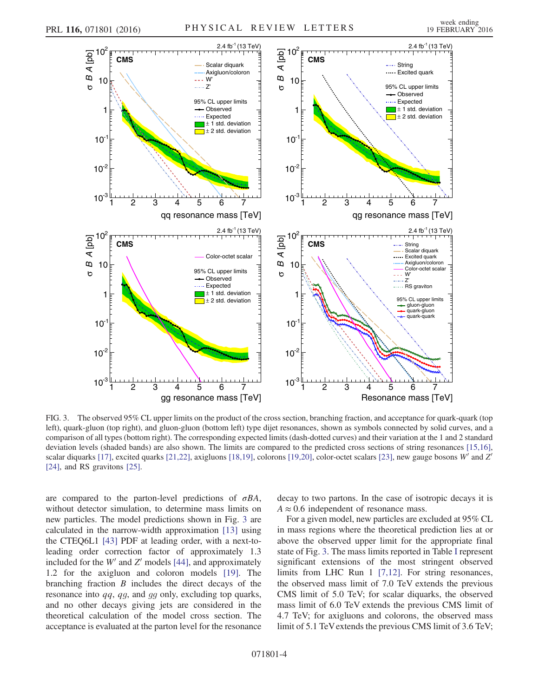<span id="page-3-0"></span>

FIG. 3. The observed 95% CL upper limits on the product of the cross section, branching fraction, and acceptance for quark-quark (top left), quark-gluon (top right), and gluon-gluon (bottom left) type dijet resonances, shown as symbols connected by solid curves, and a comparison of all types (bottom right). The corresponding expected limits (dash-dotted curves) and their variation at the 1 and 2 standard deviation levels (shaded bands) are also shown. The limits are compared to the predicted cross sections of string resonances [\[15,16\],](#page-5-0) scalar diquarks [\[17\],](#page-5-1) excited quarks [\[21,22\]](#page-5-4), axigluons [\[18,19\],](#page-5-2) colorons [\[19,20\],](#page-5-3) color-octet scalars [\[23\],](#page-5-5) new gauge bosons W' and Z' [\[24\],](#page-5-6) and RS gravitons [\[25\]](#page-5-7).

are compared to the parton-level predictions of  $\sigma BA$ , without detector simulation, to determine mass limits on new particles. The model predictions shown in Fig. [3](#page-3-0) are calculated in the narrow-width approximation [\[13\]](#page-4-3) using the CTEQ6L1 [\[43\]](#page-5-21) PDF at leading order, with a next-toleading order correction factor of approximately 1.3 included for the  $W'$  and  $Z'$  models [\[44\]](#page-5-22), and approximately 1.2 for the axigluon and coloron models [\[19\].](#page-5-3) The branching fraction  $B$  includes the direct decays of the resonance into  $qq$ ,  $qg$ , and  $gg$  only, excluding top quarks, and no other decays giving jets are considered in the theoretical calculation of the model cross section. The acceptance is evaluated at the parton level for the resonance decay to two partons. In the case of isotropic decays it is  $A \approx 0.6$  independent of resonance mass.

For a given model, new particles are excluded at 95% CL in mass regions where the theoretical prediction lies at or above the observed upper limit for the appropriate final state of Fig. [3](#page-3-0). The mass limits reported in Table [I](#page-4-7) represent significant extensions of the most stringent observed limits from LHC Run 1 [\[7,12\].](#page-4-8) For string resonances, the observed mass limit of 7.0 TeV extends the previous CMS limit of 5.0 TeV; for scalar diquarks, the observed mass limit of 6.0 TeV extends the previous CMS limit of 4.7 TeV; for axigluons and colorons, the observed mass limit of 5.1 TeV extends the previous CMS limit of 3.6 TeV;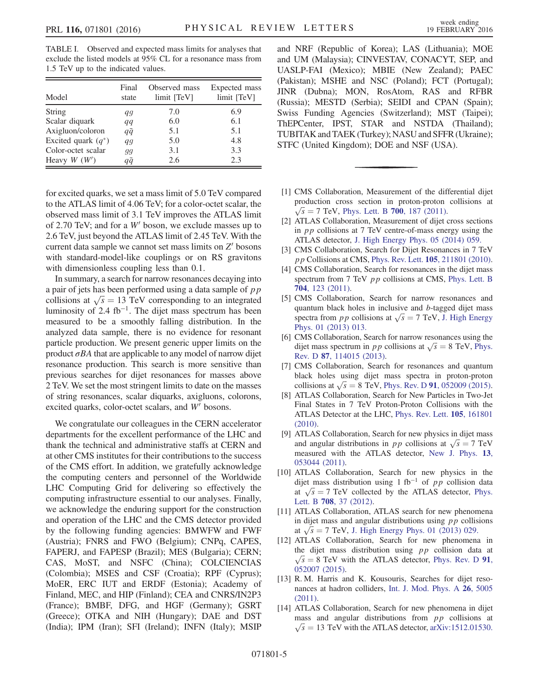<span id="page-4-7"></span>TABLE I. Observed and expected mass limits for analyses that exclude the listed models at 95% CL for a resonance mass from 1.5 TeV up to the indicated values.

| Model                 | Final<br>state | Observed mass<br>limit [TeV] | Expected mass<br>limit [TeV] |
|-----------------------|----------------|------------------------------|------------------------------|
| String                | qg             | 7.0                          | 6.9                          |
| Scalar diquark        | qq             | 6.0                          | 6.1                          |
| Axigluon/coloron      | $q\bar{q}$     | 5.1                          | 5.1                          |
| Excited quark $(q^*)$ | qg             | 5.0                          | 4.8                          |
| Color-octet scalar    | 99             | 3.1                          | 3.3                          |
| Heavy $W(W')$         | $q\bar{q}$     | 2.6                          | 2.3                          |

for excited quarks, we set a mass limit of 5.0 TeV compared to the ATLAS limit of 4.06 TeV; for a color-octet scalar, the observed mass limit of 3.1 TeV improves the ATLAS limit of 2.70 TeV; and for a  $W'$  boson, we exclude masses up to 2.6 TeV, just beyond the ATLAS limit of 2.45 TeV. With the current data sample we cannot set mass limits on  $Z'$  bosons with standard-model-like couplings or on RS gravitons with dimensionless coupling less than  $0.1$ .

In summary, a search for narrow resonances decaying into a pair of jets has been performed using a data sample of  $pp$ collisions at  $\sqrt{s} = 13$  TeV corresponding to an integrated luminosity of 2.4 fb<sup>-1</sup>. The dijet mass spectrum has been measured to be a smoothly falling distribution. In the analyzed data sample, there is no evidence for resonant particle production. We present generic upper limits on the product  $\sigma BA$  that are applicable to any model of narrow dijet resonance production. This search is more sensitive than previous searches for dijet resonances for masses above 2 TeV. We set the most stringent limits to date on the masses of string resonances, scalar diquarks, axigluons, colorons, excited quarks, color-octet scalars, and  $W'$  bosons.

We congratulate our colleagues in the CERN accelerator departments for the excellent performance of the LHC and thank the technical and administrative staffs at CERN and at other CMS institutes for their contributions to the success of the CMS effort. In addition, we gratefully acknowledge the computing centers and personnel of the Worldwide LHC Computing Grid for delivering so effectively the computing infrastructure essential to our analyses. Finally, we acknowledge the enduring support for the construction and operation of the LHC and the CMS detector provided by the following funding agencies: BMWFW and FWF (Austria); FNRS and FWO (Belgium); CNPq, CAPES, FAPERJ, and FAPESP (Brazil); MES (Bulgaria); CERN; CAS, MoST, and NSFC (China); COLCIENCIAS (Colombia); MSES and CSF (Croatia); RPF (Cyprus); MoER, ERC IUT and ERDF (Estonia); Academy of Finland, MEC, and HIP (Finland); CEA and CNRS/IN2P3 (France); BMBF, DFG, and HGF (Germany); GSRT (Greece); OTKA and NIH (Hungary); DAE and DST (India); IPM (Iran); SFI (Ireland); INFN (Italy); MSIP and NRF (Republic of Korea); LAS (Lithuania); MOE and UM (Malaysia); CINVESTAV, CONACYT, SEP, and UASLP-FAI (Mexico); MBIE (New Zealand); PAEC (Pakistan); MSHE and NSC (Poland); FCT (Portugal); JINR (Dubna); MON, RosAtom, RAS and RFBR (Russia); MESTD (Serbia); SEIDI and CPAN (Spain); Swiss Funding Agencies (Switzerland); MST (Taipei); ThEPCenter, IPST, STAR and NSTDA (Thailand); TUBITAK and TAEK (Turkey); NASU and SFFR (Ukraine); STFC (United Kingdom); DOE and NSF (USA).

- <span id="page-4-0"></span>[1] CMS Collaboration, Measurement of the differential dijet production cross section in proton-proton collisions at  $\sqrt{s}$  = 7 TeV, [Phys. Lett. B](http://dx.doi.org/10.1016/j.physletb.2011.05.027) 700, 187 (2011).<br>ATLAS Collaboration Measurement of dijet of
- [2] ATLAS Collaboration, Measurement of dijet cross sections in pp collisions at 7 TeV centre-of-mass energy using the ATLAS detector, [J. High Energy Phys. 05 \(2014\) 059.](http://dx.doi.org/10.1007/JHEP05(2014)059)
- <span id="page-4-6"></span><span id="page-4-1"></span>[3] CMS Collaboration, Search for Dijet Resonances in 7 TeV pp Collisions at CMS, Phys. Rev. Lett. 105[, 211801 \(2010\).](http://dx.doi.org/10.1103/PhysRevLett.105.211801)
- [4] CMS Collaboration, Search for resonances in the dijet mass spectrum from 7 TeV *pp* collisions at CMS, [Phys. Lett. B](http://dx.doi.org/10.1016/j.physletb.2011.09.015) 704[, 123 \(2011\)](http://dx.doi.org/10.1016/j.physletb.2011.09.015).
- <span id="page-4-5"></span>[5] CMS Collaboration, Search for narrow resonances and quantum black holes in inclusive and b-tagged dijet mass spectra from *pp* collisions at  $\sqrt{s} = 7$  TeV, [J. High Energy](http://dx.doi.org/10.1007/JHEP01(2013)013) [Phys. 01 \(2013\) 013.](http://dx.doi.org/10.1007/JHEP01(2013)013)
- [6] CMS Collaboration, Search for narrow resonances using the dijet mass spectrum in *pp* collisions at  $\sqrt{s} = 8$  TeV, [Phys.](http://dx.doi.org/10.1103/PhysRevD.87.114015) Rev. D 87[, 114015 \(2013\)](http://dx.doi.org/10.1103/PhysRevD.87.114015).
- <span id="page-4-8"></span>[7] CMS Collaboration, Search for resonances and quantum black holes using dijet mass spectra in proton-proton collisions at  $\sqrt{s} = 8$  TeV, Phys. Rev. D 91[, 052009 \(2015\).](http://dx.doi.org/10.1103/PhysRevD.91.052009)<br>ATI AS Collaboration. Search for New Particles in Two-Iet
- <span id="page-4-2"></span>[8] ATLAS Collaboration, Search for New Particles in Two-Jet Final States in 7 TeV Proton-Proton Collisions with the ATLAS Detector at the LHC, [Phys. Rev. Lett.](http://dx.doi.org/10.1103/PhysRevLett.105.161801) 105, 161801 [\(2010\).](http://dx.doi.org/10.1103/PhysRevLett.105.161801)
- [9] ATLAS Collaboration, Search for new physics in dijet mass and angular distributions in pp collisions at  $\sqrt{s} = 7$  TeV measured with the ATLAS detector, [New J. Phys.](http://dx.doi.org/10.1088/1367-2630/13/5/053044) 13, [053044 \(2011\).](http://dx.doi.org/10.1088/1367-2630/13/5/053044)
- [10] ATLAS Collaboration, Search for new physics in the dijet mass distribution using 1 fb<sup>-1</sup> of pp collision data at  $\sqrt{s} = 7$  TeV collected by the ATLAS detector, [Phys.](http://dx.doi.org/10.1016/j.physletb.2012.01.035) Lett. B 708[, 37 \(2012\)](http://dx.doi.org/10.1016/j.physletb.2012.01.035).
- [11] ATLAS Collaboration, ATLAS search for new phenomena in dijet mass and angular distributions using  $pp$  collisions at  $\sqrt{s} = 7$  TeV, [J. High Energy Phys. 01 \(2013\) 029.](http://dx.doi.org/10.1007/JHEP01(2013)029)
- [12] ATLAS Collaboration, Search for new phenomena in the dijet mass distribution using  $pp$  collision data at  $\sqrt{s}$  = 8 TeV with the ATLAS detector, [Phys. Rev. D](http://dx.doi.org/10.1103/PhysRevD.91.052007) 91,<br>052007 (2015) [052007 \(2015\).](http://dx.doi.org/10.1103/PhysRevD.91.052007)
- <span id="page-4-3"></span>[13] R. M. Harris and K. Kousouris, Searches for dijet resonances at hadron colliders, [Int. J. Mod. Phys. A](http://dx.doi.org/10.1142/S0217751X11054905) 26, 5005 [\(2011\).](http://dx.doi.org/10.1142/S0217751X11054905)
- <span id="page-4-4"></span>[14] ATLAS Collaboration, Search for new phenomena in dijet mass and angular distributions from pp collisions at  $\sqrt{s}$  = 13 TeV with the ATLAS detector, [arXiv:1512.01530.](http://arXiv.org/abs/1512.01530)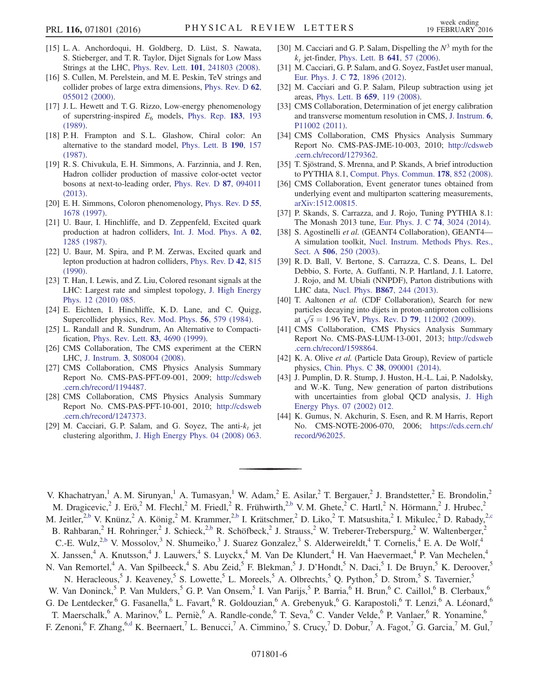- <span id="page-5-0"></span>[15] L. A. Anchordoqui, H. Goldberg, D. Lüst, S. Nawata, S. Stieberger, and T. R. Taylor, Dijet Signals for Low Mass Strings at the LHC, Phys. Rev. Lett. 101[, 241803 \(2008\)](http://dx.doi.org/10.1103/PhysRevLett.101.241803).
- [16] S. Cullen, M. Perelstein, and M. E. Peskin, TeV strings and collider probes of large extra dimensions, [Phys. Rev. D](http://dx.doi.org/10.1103/PhysRevD.62.055012) 62, [055012 \(2000\).](http://dx.doi.org/10.1103/PhysRevD.62.055012)
- <span id="page-5-1"></span>[17] J.L. Hewett and T.G. Rizzo, Low-energy phenomenology of superstring-inspired  $E_6$  models, [Phys. Rep.](http://dx.doi.org/10.1016/0370-1573(89)90071-9) 183, 193 [\(1989\).](http://dx.doi.org/10.1016/0370-1573(89)90071-9)
- <span id="page-5-2"></span>[18] P. H. Frampton and S. L. Glashow, Chiral color: An alternative to the standard model, [Phys. Lett. B](http://dx.doi.org/10.1016/0370-2693(87)90859-8) 190, 157 [\(1987\).](http://dx.doi.org/10.1016/0370-2693(87)90859-8)
- <span id="page-5-3"></span>[19] R. S. Chivukula, E. H. Simmons, A. Farzinnia, and J. Ren, Hadron collider production of massive color-octet vector bosons at next-to-leading order, [Phys. Rev. D](http://dx.doi.org/10.1103/PhysRevD.87.094011) 87, 094011 [\(2013\).](http://dx.doi.org/10.1103/PhysRevD.87.094011)
- [20] E. H. Simmons, Coloron phenomenology, [Phys. Rev. D](http://dx.doi.org/10.1103/PhysRevD.55.1678) 55, [1678 \(1997\)](http://dx.doi.org/10.1103/PhysRevD.55.1678).
- <span id="page-5-4"></span>[21] U. Baur, I. Hinchliffe, and D. Zeppenfeld, Excited quark production at hadron colliders, [Int. J. Mod. Phys. A](http://dx.doi.org/10.1142/S0217751X87000661) 02, [1285 \(1987\)](http://dx.doi.org/10.1142/S0217751X87000661).
- [22] U. Baur, M. Spira, and P. M. Zerwas, Excited quark and lepton production at hadron colliders, [Phys. Rev. D](http://dx.doi.org/10.1103/PhysRevD.42.815) 42, 815 [\(1990\).](http://dx.doi.org/10.1103/PhysRevD.42.815)
- <span id="page-5-5"></span>[23] T. Han, I. Lewis, and Z. Liu, Colored resonant signals at the LHC: Largest rate and simplest topology, [J. High Energy](http://dx.doi.org/10.1007/JHEP12(2010)085) [Phys. 12 \(2010\) 085.](http://dx.doi.org/10.1007/JHEP12(2010)085)
- <span id="page-5-6"></span>[24] E. Eichten, I. Hinchliffe, K.D. Lane, and C. Quigg, Supercollider physics, [Rev. Mod. Phys.](http://dx.doi.org/10.1103/RevModPhys.56.579) 56, 579 (1984).
- <span id="page-5-7"></span>[25] L. Randall and R. Sundrum, An Alternative to Compactification, [Phys. Rev. Lett.](http://dx.doi.org/10.1103/PhysRevLett.83.4690) 83, 4690 (1999).
- <span id="page-5-8"></span>[26] CMS Collaboration, The CMS experiment at the CERN LHC, J. Instrum. 3[, S08004 \(2008\).](http://dx.doi.org/10.1088/1748-0221/3/08/S08004)
- <span id="page-5-9"></span>[27] CMS Collaboration, CMS Physics Analysis Summary Report No. CMS-PAS-PFT-09-001, 2009; [http://cdsweb](http://cdsweb.cern.ch/record/1194487) [.cern.ch/record/1194487.](http://cdsweb.cern.ch/record/1194487)
- [28] CMS Collaboration, CMS Physics Analysis Summary Report No. CMS-PAS-PFT-10-001, 2010; [http://cdsweb](http://cdsweb.cern.ch/record/1247373) [.cern.ch/record/1247373.](http://cdsweb.cern.ch/record/1247373)
- <span id="page-5-10"></span>[29] M. Cacciari, G. P. Salam, and G. Soyez, The anti- $k_t$  jet clustering algorithm, [J. High Energy Phys. 04 \(2008\) 063.](http://dx.doi.org/10.1088/1126-6708/2008/04/063)
- <span id="page-5-11"></span>[30] M. Cacciari and G. P. Salam, Dispelling the  $N<sup>3</sup>$  myth for the  $k_t$  jet-finder, [Phys. Lett. B](http://dx.doi.org/10.1016/j.physletb.2006.08.037) 641, 57 (2006).
- <span id="page-5-12"></span>[31] M. Cacciari, G. P. Salam, and G. Soyez, FastJet user manual, [Eur. Phys. J. C](http://dx.doi.org/10.1140/epjc/s10052-012-1896-2) 72, 1896 (2012).
- [32] M. Cacciari and G. P. Salam, Pileup subtraction using jet areas, [Phys. Lett. B](http://dx.doi.org/10.1016/j.physletb.2007.09.077) 659, 119 (2008).
- <span id="page-5-13"></span>[33] CMS Collaboration, Determination of jet energy calibration and transverse momentum resolution in CMS, [J. Instrum.](http://dx.doi.org/10.1088/1748-0221/6/11/P11002) 6, [P11002 \(2011\)](http://dx.doi.org/10.1088/1748-0221/6/11/P11002).
- <span id="page-5-14"></span>[34] CMS Collaboration, CMS Physics Analysis Summary Report No. CMS-PAS-JME-10-003, 2010; [http://cdsweb](http://cdsweb.cern.ch/record/1279362) [.cern.ch/record/1279362.](http://cdsweb.cern.ch/record/1279362)
- <span id="page-5-15"></span>[35] T. Sjöstrand, S. Mrenna, and P. Skands, A brief introduction to PYTHIA 8.1, [Comput. Phys. Commun.](http://dx.doi.org/10.1016/j.cpc.2008.01.036) 178, 852 (2008).
- <span id="page-5-16"></span>[36] CMS Collaboration, Event generator tunes obtained from underlying event and multiparton scattering measurements, [arXiv:1512.00815.](http://arXiv.org/abs/1512.00815)
- [37] P. Skands, S. Carrazza, and J. Rojo, Tuning PYTHIA 8.1: The Monash 2013 tune, [Eur. Phys. J. C](http://dx.doi.org/10.1140/epjc/s10052-014-3024-y) 74, 3024 (2014).
- <span id="page-5-17"></span>[38] S. Agostinelli et al. (GEANT4 Collaboration), GEANT4-A simulation toolkit, [Nucl. Instrum. Methods Phys. Res.,](http://dx.doi.org/10.1016/S0168-9002(03)01368-8) Sect. A **506**[, 250 \(2003\)](http://dx.doi.org/10.1016/S0168-9002(03)01368-8).
- <span id="page-5-18"></span>[39] R. D. Ball, V. Bertone, S. Carrazza, C. S. Deans, L. Del Debbio, S. Forte, A. Guffanti, N. P. Hartland, J. I. Latorre, J. Rojo, and M. Ubiali (NNPDF), Parton distributions with LHC data, Nucl. Phys. B867[, 244 \(2013\).](http://dx.doi.org/10.1016/j.nuclphysb.2012.10.003)
- [40] T. Aaltonen et al. (CDF Collaboration), Search for new particles decaying into dijets in proton-antiproton collisions at  $\sqrt{s}$  = 1.96 TeV, Phys. Rev. D 79[, 112002 \(2009\)](http://dx.doi.org/10.1103/PhysRevD.79.112002).<br>CMS Collaboration CMS Physics Analysis Sum
- <span id="page-5-19"></span>[41] CMS Collaboration, CMS Physics Analysis Summary Report No. CMS-PAS-LUM-13-001, 2013; [http://cdsweb](http://cdsweb.cern.ch/record/1598864) [.cern.ch/record/1598864.](http://cdsweb.cern.ch/record/1598864)
- <span id="page-5-20"></span>[42] K. A. Olive et al. (Particle Data Group), Review of particle physics, Chin. Phys. C 38[, 090001 \(2014\).](http://dx.doi.org/10.1088/1674-1137/38/9/090001)
- <span id="page-5-21"></span>[43] J. Pumplin, D. R. Stump, J. Huston, H.-L. Lai, P. Nadolsky, and W.-K. Tung, New generation of parton distributions with uncertainties from global QCD analysis, [J. High](http://dx.doi.org/10.1088/1126-6708/2002/07/012) [Energy Phys. 07 \(2002\) 012.](http://dx.doi.org/10.1088/1126-6708/2002/07/012)
- <span id="page-5-22"></span>[44] K. Gumus, N. Akchurin, S. Esen, and R. M Harris, Report No. CMS-NOTE-2006-070, 2006; [https://cds.cern.ch/](https://cds.cern.ch/record/962025) [record/962025.](https://cds.cern.ch/record/962025)

V. Khachatryan,<sup>1</sup> A. M. Sirunyan,<sup>1</sup> A. Tumasyan,<sup>1</sup> W. Adam,<sup>2</sup> E. Asilar,<sup>2</sup> T. Bergauer,<sup>2</sup> J. Brandstetter,<sup>2</sup> E. Brondolin,<sup>2</sup> M. Dragicevic,<sup>2</sup> J. Erö,<sup>2</sup> M. Flechl,<sup>2</sup> M. Friedl,<sup>2</sup> R. Frühwirth,<sup>2[,b](#page-15-0)</sup> V. M. Ghete,<sup>2</sup> C. Hartl,<sup>2</sup> N. Hörmann,<sup>2</sup> J. Hrubec,<sup>2</sup>

<span id="page-5-24"></span><span id="page-5-23"></span>M. Jeitler,<sup>[2,b](#page-15-0)</sup> V. Knünz,<sup>2</sup> A. König,<sup>2</sup> M. Krammer,<sup>2,b</sup> I. Krätschmer,<sup>2</sup> D. Liko,<sup>2</sup> T. Matsushita,<sup>2</sup> I. Mikulec,<sup>2</sup> D. Rabady,<sup>[2,c](#page-15-1)</sup> B. Rahbaran,<sup>2</sup> H. Rohringer,<sup>2</sup> J. Schieck,<sup>2[,b](#page-15-0)</sup> R. Schöfbeck,<sup>2</sup> J. Strauss,<sup>2</sup> W. Treberer-Treberspurg,<sup>2</sup> W. Waltenberger,<sup>2</sup> C.-E. Wulz,<sup>2[,b](#page-15-0)</sup> V. Mossolov,<sup>3</sup> N. Shumeiko,<sup>3</sup> J. Suarez Gonzalez,<sup>3</sup> S. Alderweireldt,<sup>4</sup> T. Cornelis,<sup>4</sup> E. A. De Wolf,<sup>4</sup> X. Janssen,<sup>4</sup> A. Knutsson,<sup>4</sup> J. Lauwers,<sup>4</sup> S. Luyckx,<sup>4</sup> M. Van De Klundert,<sup>4</sup> H. Van Haevermaet,<sup>4</sup> P. Van Mechelen,<sup>4</sup>

N. Van Remortel,<sup>4</sup> A. Van Spilbeeck,<sup>4</sup> S. Abu Zeid,<sup>5</sup> F. Blekman,<sup>5</sup> J. D'Hondt,<sup>5</sup> N. Daci,<sup>5</sup> I. De Bruyn,<sup>5</sup> K. Deroover,<sup>5</sup> N. Heracleous,<sup>5</sup> J. Keaveney,<sup>5</sup> S. Lowette,<sup>5</sup> L. Moreels,<sup>5</sup> A. Olbrechts,<sup>5</sup> Q. Python,<sup>5</sup> D. Strom,<sup>5</sup> S. Tavernier,<sup>5</sup>

W. Van Doninck,<sup>5</sup> P. Van Mulders,<sup>5</sup> G. P. Van Onsem,<sup>5</sup> I. Van Parijs,<sup>5</sup> P. Barria,<sup>6</sup> H. Brun,<sup>6</sup> C. Caillol,<sup>6</sup> B. Clerbaux,<sup>6</sup>

G. De Lentdecker, <sup>6</sup> G. Fasanella, <sup>6</sup> L. Favart, <sup>6</sup> R. Goldouzian, <sup>6</sup> A. Grebenyuk, <sup>6</sup> G. Karapostoli, <sup>6</sup> T. Lenzi, <sup>6</sup> A. Léonard, <sup>6</sup>

<span id="page-5-25"></span>T. Maerschalk,<sup>6</sup> A. Marinov,<sup>6</sup> L. Perniè,<sup>6</sup> A. Randle-conde,<sup>6</sup> T. Seva,<sup>6</sup> C. Vander Velde,<sup>6</sup> P. Vanlaer,<sup>6</sup> R. Yonamine,<sup>6</sup>

F. Zenoni,<sup>6</sup> F. Zhang,<sup>6[,d](#page-15-2)</sup> K. Beernaert,<sup>7</sup> L. Benucci,<sup>7</sup> A. Cimmino,<sup>7</sup> S. Crucy,<sup>7</sup> D. Dobur,<sup>7</sup> A. Fagot,<sup>7</sup> G. Garcia,<sup>7</sup> M. Gul,<sup>7</sup>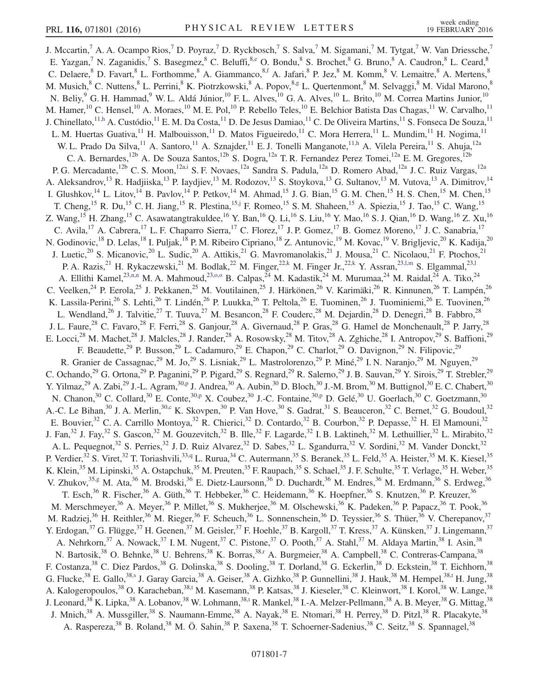<span id="page-6-12"></span><span id="page-6-11"></span><span id="page-6-10"></span><span id="page-6-9"></span><span id="page-6-8"></span><span id="page-6-7"></span><span id="page-6-6"></span><span id="page-6-5"></span><span id="page-6-4"></span><span id="page-6-3"></span><span id="page-6-2"></span><span id="page-6-1"></span><span id="page-6-0"></span>J. Mccartin,<sup>7</sup> A. A. Ocampo Rios,<sup>7</sup> D. Poyraz,<sup>7</sup> D. Ryckbosch,<sup>7</sup> S. Salva,<sup>7</sup> M. Sigamani,<sup>7</sup> M. Tytgat,<sup>7</sup> W. Van Driessche,<sup>7</sup> E. Yazgan,<sup>7</sup> N. Zaganidis,<sup>7</sup> S. Basegmez,<sup>8</sup> C. Beluffi,<sup>[8,e](#page-15-3)</sup> O. Bondu,<sup>8</sup> S. Brochet,<sup>8</sup> G. Bruno,<sup>8</sup> A. Caudron,<sup>8</sup> L. Ceard,<sup>8</sup> C. Delaere,<sup>8</sup> D. Favart,<sup>8</sup> L. Forthomme,<sup>8</sup> A. Giammanco,<sup>[8,f](#page-15-4)</sup> A. Jafari,<sup>8</sup> P. Jez,<sup>8</sup> M. Komm,<sup>8</sup> V. Lemaitre,<sup>8</sup> A. Mertens,<sup>8</sup> M. Musich, <sup>8</sup> C. Nuttens, <sup>8</sup> L. Perrini, <sup>8</sup> K. Piotrzkowski, <sup>8</sup> A. Popov, <sup>8[,g](#page-15-5)</sup> L. Quertenmont, <sup>8</sup> M. Selvaggi, <sup>8</sup> M. Vidal Marono, <sup>8</sup> N. Beliy, <sup>9</sup> G. H. Hammad, <sup>9</sup> W. L. Aldá Júnior, <sup>10</sup> F. L. Alves, <sup>10</sup> G. A. Alves, <sup>10</sup> L. Brito, <sup>10</sup> M. Correa Martins Junior,<sup>10</sup> M. Hamer,  $^{10}$  C. Hensel,  $^{10}$  A. Moraes,  $^{10}$  M. E. Pol,  $^{10}$  P. Rebello Teles,  $^{10}$  E. Belchior Batista Das Chagas,  $^{11}$  W. Carvalho,  $^{11}$ J. Chinellato,<sup>1[1,h](#page-15-6)</sup> A. Custódio,<sup>11</sup> E. M. Da Costa,<sup>11</sup> D. De Jesus Damiao,<sup>11</sup> C. De Oliveira Martins,<sup>11</sup> S. Fonseca De Souza,<sup>11</sup> L. M. Huertas Guativa,<sup>11</sup> H. Malbouisson,<sup>11</sup> D. Matos Figueiredo,<sup>11</sup> C. Mora Herrera,<sup>11</sup> L. Mundim,<sup>11</sup> H. Nogima,<sup>11</sup> W. L. Prado Da Silva,<sup>11</sup> A. Santoro,<sup>11</sup> A. Sznajder,<sup>11</sup> E. J. Tonelli Manganote,<sup>11[,h](#page-15-6)</sup> A. Vilela Pereira,<sup>11</sup> S. Ahuja,<sup>12a</sup> C. A. Bernardes,<sup>12b</sup> A. De Souza Santos,<sup>12b</sup> S. Dogra,<sup>12a</sup> T. R. Fernandez Perez Tomei,<sup>12a</sup> E. M. Gregores,<sup>12b</sup> P. G. Mercadante,<sup>12b</sup> C. S. Moon,<sup>12[a,i](#page-15-7)</sup> S. F. Novaes,<sup>12a</sup> Sandra S. Padula,<sup>12a</sup> D. Romero Abad,<sup>12a</sup> J. C. Ruiz Vargas,<sup>12a</sup> A. Aleksandrov,<sup>13</sup> R. Hadjiiska,<sup>13</sup> P. Iaydjiev,<sup>13</sup> M. Rodozov,<sup>13</sup> S. Stoykova,<sup>13</sup> G. Sultanov,<sup>13</sup> M. Vutova,<sup>13</sup> A. Dimitrov,<sup>14</sup> I. Glushkov,<sup>14</sup> L. Litov,<sup>14</sup> B. Pavlov,<sup>14</sup> P. Petkov,<sup>14</sup> M. Ahmad,<sup>15</sup> J. G. Bian,<sup>15</sup> G. M. Chen,<sup>15</sup> H. S. Chen,<sup>15</sup> M. Chen,<sup>15</sup> T. Cheng,<sup>15</sup> R. Du,<sup>15</sup> C. H. Jiang,<sup>15</sup> R. Plestina,<sup>15[,j](#page-15-8)</sup> F. Romeo,<sup>15</sup> S. M. Shaheen,<sup>15</sup> A. Spiezia,<sup>15</sup> J. Tao,<sup>15</sup> C. Wang,<sup>15</sup> Z. Wang,<sup>15</sup> H. Zhang,<sup>15</sup> C. Asawatangtrakuldee,<sup>16</sup> Y. Ban,<sup>16</sup> Q. Li,<sup>16</sup> S. Liu,<sup>16</sup> Y. Mao,<sup>16</sup> S. J. Qian,<sup>16</sup> D. Wang,<sup>16</sup> Z. Xu,<sup>16</sup> C. Avila,<sup>17</sup> A. Cabrera,<sup>17</sup> L. F. Chaparro Sierra,<sup>17</sup> C. Florez,<sup>17</sup> J. P. Gomez,<sup>17</sup> B. Gomez Moreno,<sup>17</sup> J. C. Sanabria,<sup>17</sup> N. Godinovic,<sup>18</sup> D. Lelas,<sup>18</sup> I. Puljak,<sup>18</sup> P. M. Ribeiro Cipriano,<sup>18</sup> Z. Antunovic,<sup>19</sup> M. Kovac,<sup>19</sup> V. Brigljevic,<sup>20</sup> K. Kadija,<sup>20</sup> J. Luetic,<sup>20</sup> S. Micanovic,<sup>20</sup> L. Sudic,<sup>20</sup> A. Attikis,<sup>21</sup> G. Mavromanolakis,<sup>21</sup> J. Mousa,<sup>21</sup> C. Nicolaou,<sup>21</sup> F. Ptochos,<sup>2</sup> P. A. Razis,<sup>21</sup> H. Rykaczewski,<sup>21</sup> M. Bodlak,<sup>22</sup> M. Finger,<sup>2[2,k](#page-15-9)</sup> M. Finger Jr.,<sup>22,k</sup> Y. Assran,<sup>23[,l,m](#page-15-10)</sup> S. Elgammal,<sup>23[,l](#page-15-10)</sup> A. Ellithi Kamel,<sup>2[3,n,n](#page-15-11)</sup> M. A. Mahmoud,<sup>23,0,0</sup> B. Calpas,<sup>24</sup> M. Kadastik,<sup>24</sup> M. Murumaa,<sup>24</sup> M. Raidal,<sup>24</sup> A. Tiko,<sup>24</sup> C. Veelken,<sup>24</sup> P. Eerola,<sup>25</sup> J. Pekkanen,<sup>25</sup> M. Voutilainen,<sup>25</sup> J. Härkönen,<sup>26</sup> V. Karimäki,<sup>26</sup> R. Kinnunen,<sup>26</sup> T. Lampén,<sup>26</sup> K. Lassila-Perini,<sup>26</sup> S. Lehti,<sup>26</sup> T. Lindén,<sup>26</sup> P. Luukka,<sup>26</sup> T. Peltola,<sup>26</sup> E. Tuominen,<sup>26</sup> J. Tuominiemi,<sup>26</sup> E. Tuovinen,<sup>26</sup> L. Wendland,<sup>26</sup> J. Talvitie,<sup>27</sup> T. Tuuva,<sup>27</sup> M. Besancon,<sup>28</sup> F. Couderc,<sup>28</sup> M. Dejardin,<sup>28</sup> D. Denegri,<sup>28</sup> B. Fabbro,<sup>28</sup> J. L. Faure,<sup>28</sup> C. Favaro,<sup>28</sup> F. Ferri,<sup>28</sup> S. Ganjour,<sup>28</sup> A. Givernaud,<sup>28</sup> P. Gras,<sup>28</sup> G. Hamel de Monchenault,<sup>28</sup> P. Jarry,<sup>28</sup> E. Locci,<sup>28</sup> M. Machet,<sup>28</sup> J. Malcles,<sup>28</sup> J. Rander,<sup>28</sup> A. Rosowsky,<sup>28</sup> M. Titov,<sup>28</sup> A. Zghiche,<sup>28</sup> I. Antropov,<sup>29</sup> S. Baffioni,<sup>29</sup> F. Beaudette,<sup>29</sup> P. Busson,<sup>29</sup> L. Cadamuro,<sup>29</sup> E. Chapon,<sup>29</sup> C. Charlot,<sup>29</sup> O. Davignon,<sup>29</sup> N. Filipovic,<sup>29</sup> R. Granier de Cassagnac,<sup>29</sup> M. Jo,<sup>29</sup> S. Lisniak,<sup>29</sup> L. Mastrolorenzo,<sup>29</sup> P. Miné,<sup>29</sup> I. N. Naranjo,<sup>29</sup> M. Nguyen,<sup>29</sup> C. Ochando,<sup>29</sup> G. Ortona,<sup>29</sup> P. Paganini,<sup>29</sup> P. Pigard,<sup>29</sup> S. Regnard,<sup>29</sup> R. Salerno,<sup>29</sup> J. B. Sauvan,<sup>29</sup> Y. Sirois,<sup>29</sup> T. Strebler,<sup>29</sup> Y. Yilmaz,<sup>29</sup> A. Zabi,<sup>29</sup> J.-L. Agram,<sup>30[,p](#page-15-13)</sup> J. Andrea,<sup>30</sup> A. Aubin,<sup>30</sup> D. Bloch,<sup>30</sup> J.-M. Brom,<sup>30</sup> M. Buttignol,<sup>30</sup> E. C. Chabert,<sup>30</sup> N. Chanon,  $30$  C. Collard,  $30$  E. Conte,  $30.$ p X. Coubez,  $30$  J.-C. Fontaine,  $30.$ p D. Gelé,  $30$  U. Goerlach,  $30$  C. Goetzmann,  $30$ A.-C. Le Bihan,<sup>30</sup> J. A. Merlin,<sup>3[0,c](#page-15-1)</sup> K. Skovpen,<sup>30</sup> P. Van Hove,<sup>30</sup> S. Gadrat,<sup>31</sup> S. Beauceron,<sup>32</sup> C. Bernet,<sup>32</sup> G. Boudoul,<sup>32</sup> E. Bouvier,<sup>32</sup> C. A. Carrillo Montoya,<sup>32</sup> R. Chierici,<sup>32</sup> D. Contardo,<sup>32</sup> B. Courbon,<sup>32</sup> P. Depasse,<sup>32</sup> H. El Mamouni,<sup>32</sup> J. Fan,<sup>32</sup> J. Fay,<sup>32</sup> S. Gascon,<sup>32</sup> M. Gouzevitch,<sup>32</sup> B. Ille,<sup>32</sup> F. Lagarde,<sup>32</sup> I. B. Laktineh,<sup>32</sup> M. Lethuillier,<sup>32</sup> L. Mirabito,<sup>32</sup> A. L. Pequegnot,<sup>32</sup> S. Perries,<sup>32</sup> J. D. Ruiz Alvarez,<sup>32</sup> D. Sabes,<sup>32</sup> L. Sgandurra,<sup>32</sup> V. Sordini,<sup>32</sup> M. Vander Donckt,<sup>32</sup> P. Verdier,<sup>32</sup> S. Viret,<sup>32</sup> T. Toriashvili,<sup>33[,q](#page-15-14)</sup> L. Rurua,<sup>34</sup> C. Autermann,<sup>35</sup> S. Beranek,<sup>35</sup> L. Feld,<sup>35</sup> A. Heister,<sup>35</sup> M. K. Kiesel,<sup>35</sup> K. Klein,<sup>35</sup> M. Lipinski,<sup>35</sup> A. Ostapchuk,<sup>35</sup> M. Preuten,<sup>35</sup> F. Raupach,<sup>35</sup> S. Schael,<sup>35</sup> J. F. Schulte,<sup>35</sup> T. Verlage,<sup>35</sup> H. Weber,<sup>35</sup> V. Zhukov,<sup>35[,g](#page-15-5)</sup> M. Ata,<sup>36</sup> M. Brodski,<sup>36</sup> E. Dietz-Laursonn,<sup>36</sup> D. Duchardt,<sup>36</sup> M. Endres,<sup>36</sup> M. Erdmann,<sup>36</sup> S. Erdweg,<sup>36</sup> T. Esch,<sup>36</sup> R. Fischer,<sup>36</sup> A. Güth,<sup>36</sup> T. Hebbeker,<sup>36</sup> C. Heidemann,<sup>36</sup> K. Hoepfner,<sup>36</sup> S. Knutzen,<sup>36</sup> P. Kreuzer,<sup>36</sup> M. Merschmeyer,<sup>36</sup> A. Meyer,<sup>36</sup> P. Millet,<sup>36</sup> S. Mukherjee,<sup>36</sup> M. Olschewski,<sup>36</sup> K. Padeken,<sup>36</sup> P. Papacz,<sup>36</sup> T. Pook,<sup>36</sup> M. Radziej,<sup>36</sup> H. Reithler,<sup>36</sup> M. Rieger,<sup>36</sup> F. Scheuch,<sup>36</sup> L. Sonnenschein,<sup>36</sup> D. Teyssier,<sup>36</sup> S. Thüer,<sup>36</sup> V. Cherepanov,<sup>37</sup> Y. Erdogan,<sup>37</sup> G. Flügge,<sup>37</sup> H. Geenen,<sup>37</sup> M. Geisler,<sup>37</sup> F. Hoehle,<sup>37</sup> B. Kargoll,<sup>37</sup> T. Kress,<sup>37</sup> A. Künsken,<sup>37</sup> J. Lingemann,<sup>37</sup> A. Nehrkorn,<sup>37</sup> A. Nowack,<sup>37</sup> I. M. Nugent,<sup>37</sup> C. Pistone,<sup>37</sup> O. Pooth,<sup>37</sup> A. Stahl,<sup>37</sup> M. Aldaya Martin,<sup>38</sup> I. Asin,<sup>38</sup> N. Bartosik,<sup>38</sup> O. Behnke,<sup>38</sup> U. Behrens,<sup>38</sup> K. Borras,<sup>38[,r](#page-15-15)</sup> A. Burgmeier,<sup>38</sup> A. Campbell,<sup>38</sup> C. Contreras-Campana,<sup>38</sup> F. Costanza,<sup>38</sup> C. Diez Pardos,<sup>38</sup> G. Dolinska,<sup>38</sup> S. Dooling,<sup>38</sup> T. Dorland,<sup>38</sup> G. Eckerlin,<sup>38</sup> D. Eckstein,<sup>38</sup> T. Eichhorn,<sup>38</sup> G. Flucke,<sup>38</sup> E. Gallo,<sup>3[8,s](#page-15-16)</sup> J. Garay Garcia,<sup>38</sup> A. Geiser,<sup>38</sup> A. Gizhko,<sup>38</sup> P. Gunnellini,<sup>38</sup> J. Hauk,<sup>38</sup> M. Hempel,<sup>3[8,t](#page-15-17)</sup> H. Jung,<sup>38</sup> A. Kalogeropoulos,<sup>38</sup> O. Karacheban,<sup>38[,t](#page-15-17)</sup> M. Kasemann,<sup>38</sup> P. Katsas,<sup>38</sup> J. Kieseler,<sup>38</sup> C. Kleinwort,<sup>38</sup> I. Korol,<sup>38</sup> W. Lange,<sup>38</sup> J. Leonard,<sup>38</sup> K. Lipka,<sup>38</sup> A. Lobanov,<sup>38</sup> W. Lohmann,<sup>3[8,t](#page-15-17)</sup> R. Mankel,<sup>38</sup> I.-A. Melzer-Pellmann,<sup>38</sup> A. B. Meyer,<sup>38</sup> G. Mittag,<sup>38</sup> J. Mnich,<sup>38</sup> A. Mussgiller,<sup>38</sup> S. Naumann-Emme,<sup>38</sup> A. Nayak,<sup>38</sup> E. Ntomari,<sup>38</sup> H. Perrey,<sup>38</sup> D. Pitzl,<sup>38</sup> R. Placakyte,<sup>38</sup> A. Raspereza,<sup>38</sup> B. Roland,<sup>38</sup> M. Ö. Sahin,<sup>38</sup> P. Saxena,<sup>38</sup> T. Schoerner-Sadenius,<sup>38</sup> C. Seitz,<sup>38</sup> S. Spannagel,<sup>38</sup>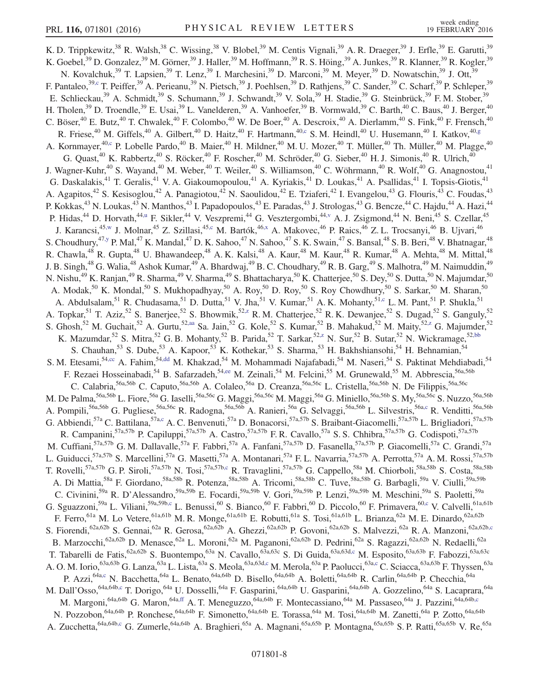<span id="page-7-7"></span><span id="page-7-6"></span><span id="page-7-5"></span><span id="page-7-4"></span><span id="page-7-3"></span><span id="page-7-2"></span><span id="page-7-1"></span><span id="page-7-0"></span>K. D. Trippkewitz,<sup>38</sup> R. Walsh,<sup>38</sup> C. Wissing,<sup>38</sup> V. Blobel,<sup>39</sup> M. Centis Vignali,<sup>39</sup> A. R. Draeger,<sup>39</sup> J. Erfle,<sup>39</sup> E. Garutti,<sup>39</sup> K. Goebel,<sup>39</sup> D. Gonzalez,<sup>39</sup> M. Görner,<sup>39</sup> J. Haller,<sup>39</sup> M. Hoffmann,<sup>39</sup> R. S. Höing,<sup>39</sup> A. Junkes,<sup>39</sup> R. Klanner,<sup>39</sup> R. Kogler,<sup>39</sup> N. Kovalchuk,<sup>39</sup> T. Lapsien,<sup>39</sup> T. Lenz,<sup>39</sup> I. Marchesini,<sup>39</sup> D. Marconi,<sup>39</sup> M. Meyer,<sup>39</sup> D. Nowatschin,<sup>39</sup> J. Ott,<sup>39</sup> F. Pantaleo,<sup>3[9,c](#page-15-1)</sup> T. Peiffer,<sup>39</sup> A. Perieanu,<sup>39</sup> N. Pietsch,<sup>39</sup> J. Poehlsen,<sup>39</sup> D. Rathjens,<sup>39</sup> C. Sander,<sup>39</sup> C. Scharf,<sup>39</sup> P. Schleper,<sup>39</sup> E. Schlieckau,<sup>39</sup> A. Schmidt,<sup>39</sup> S. Schumann,<sup>39</sup> J. Schwandt,<sup>39</sup> V. Sola,<sup>39</sup> H. Stadie,<sup>39</sup> G. Steinbrück,<sup>39</sup> F. M. Stober,<sup>39</sup> H. Tholen,<sup>39</sup> D. Troendle,<sup>39</sup> E. Usai,<sup>39</sup> L. Vanelderen,<sup>39</sup> A. Vanhoefer,<sup>39</sup> B. Vormwald,<sup>39</sup> C. Barth,<sup>40</sup> C. Baus,<sup>40</sup> J. Berger,<sup>40</sup> C. Böser,<sup>40</sup> E. Butz,<sup>40</sup> T. Chwalek,<sup>40</sup> F. Colombo,<sup>40</sup> W. De Boer,<sup>40</sup> A. Descroix,<sup>40</sup> A. Dierlamm,<sup>40</sup> S. Fink,<sup>40</sup> F. Frensch,<sup>40</sup> R. Friese,<sup>40</sup> M. Giffels,<sup>40</sup> A. Gilbert,<sup>40</sup> D. Haitz,<sup>40</sup> F. Hartmann,<sup>40[,c](#page-15-1)</sup> S.M. Heindl,<sup>40</sup> U. Husemann,<sup>40</sup> I. Katkov,<sup>40[,g](#page-15-5)</sup> A. Kornmayer,<sup>4[0,c](#page-15-1)</sup> P. Lobelle Pardo,<sup>40</sup> B. Maier,<sup>40</sup> H. Mildner,<sup>40</sup> M. U. Mozer,<sup>40</sup> T. Müller,<sup>40</sup> Th. Müller,<sup>40</sup> M. Plagge,<sup>40</sup> G. Quast, <sup>40</sup> K. Rabbertz, <sup>40</sup> S. Röcker, <sup>40</sup> F. Roscher, <sup>40</sup> M. Schröder, <sup>40</sup> G. Sieber, <sup>40</sup> H. J. Simonis, <sup>40</sup> R. Ulrich, <sup>40</sup> J. Wagner-Kuhr,<sup>40</sup> S. Wayand,<sup>40</sup> M. Weber,<sup>40</sup> T. Weiler,<sup>40</sup> S. Williamson,<sup>40</sup> C. Wöhrmann,<sup>40</sup> R. Wolf,<sup>40</sup> G. Anagnostou,<sup>41</sup> G. Daskalakis,<sup>41</sup> T. Geralis,<sup>41</sup> V. A. Giakoumopoulou,<sup>41</sup> A. Kyriakis,<sup>41</sup> D. Loukas,<sup>41</sup> A. Psallidas,<sup>41</sup> I. Topsis-Giotis,<sup>41</sup> A. Agapitos,<sup>42</sup> S. Kesisoglou,<sup>42</sup> A. Panagiotou,<sup>42</sup> N. Saoulidou,<sup>42</sup> E. Tziaferi,<sup>42</sup> I. Evangelou,<sup>43</sup> G. Flouris,<sup>43</sup> C. Foudas,<sup>43</sup> P. Kokkas,<sup>43</sup> N. Loukas,<sup>43</sup> N. Manthos,<sup>43</sup> I. Papadopoulos,<sup>43</sup> E. Paradas,<sup>43</sup> J. Strologas,<sup>43</sup> G. Bencze,<sup>44</sup> C. Hajdu,<sup>44</sup> A. Hazi,<sup>44</sup> P. Hidas,<sup>44</sup> D. Horvath,<sup>4[4,u](#page-15-18)</sup> F. Sikler,<sup>44</sup> V. Veszpremi,<sup>44</sup> G. Vesztergombi,<sup>4[4,v](#page-15-19)</sup> A. J. Zsigmond,<sup>44</sup> N. Beni,<sup>45</sup> S. Czellar,<sup>45</sup> J. Karancsi,<sup>4[5,w](#page-15-20)</sup> J. Molnar,<sup>45</sup> Z. Szillasi,<sup>4[5,c](#page-15-1)</sup> M. Bartók,<sup>4[6,x](#page-15-21)</sup> A. Makovec,<sup>46</sup> P. Raics,<sup>46</sup> Z. L. Trocsanyi,<sup>46</sup> B. Ujvari,<sup>46</sup> S. Choudhury,<sup>47[,y](#page-15-22)</sup> P. Mal,<sup>47</sup> K. Mandal,<sup>47</sup> D. K. Sahoo,<sup>47</sup> N. Sahoo,<sup>47</sup> S. K. Swain,<sup>47</sup> S. Bansal,<sup>48</sup> S. B. Beri,<sup>48</sup> V. Bhatnagar,<sup>48</sup> R. Chawla,<sup>48</sup> R. Gupta,<sup>48</sup> U. Bhawandeep,<sup>48</sup> A. K. Kalsi,<sup>48</sup> A. Kaur,<sup>48</sup> M. Kaur,<sup>48</sup> R. Kumar,<sup>48</sup> A. Mehta,<sup>48</sup> M. Mittal,<sup>48</sup> J. B. Singh, $^{48}$  G. Walia, $^{48}$  Ashok Kumar, $^{49}$  A. Bhardwaj, $^{49}$  B. C. Choudhary, $^{49}$  R. B. Garg, $^{49}$  S. Malhotra, $^{49}$  M. Naimuddin, $^{49}$ N. Nishu,<sup>49</sup> K. Ranjan,<sup>49</sup> R. Sharma,<sup>49</sup> V. Sharma,<sup>49</sup> S. Bhattacharya,<sup>50</sup> K. Chatterjee,<sup>50</sup> S. Dey,<sup>50</sup> S. Dutta,<sup>50</sup> N. Majumdar,<sup>50</sup> A. Modak,<sup>50</sup> K. Mondal,<sup>50</sup> S. Mukhopadhyay,<sup>50</sup> A. Roy,<sup>50</sup> D. Roy,<sup>50</sup> S. Roy Chowdhury,<sup>50</sup> S. Sarkar,<sup>50</sup> M. Sharan,<sup>50</sup> A. Abdulsalam,<sup>51</sup> R. Chudasama,<sup>51</sup> D. Dutta,<sup>51</sup> V. Jha,<sup>51</sup> V. Kumar,<sup>51</sup> A. K. Mohanty,<sup>51[,c](#page-15-1)</sup> L. M. Pant,<sup>51</sup> P. Shukla,<sup>51</sup> A. Topkar,<sup>51</sup> T. Aziz,<sup>52</sup> S. Banerjee,<sup>52</sup> S. Bhowmik,<sup>52[,z](#page-15-23)</sup> R. M. Chatterjee,<sup>52</sup> R. K. Dewanjee,<sup>52</sup> S. Dugad,<sup>52</sup> S. Ganguly,<sup>52</sup> S. Ghosh,<sup>52</sup> M. Guchait,<sup>52</sup> A. Gurtu,<sup>5[2,aa](#page-15-24)</sup> Sa. Jain,<sup>52</sup> G. Kole,<sup>52</sup> S. Kumar,<sup>52</sup> B. Mahakud,<sup>52</sup> M. Maity,<sup>52[,z](#page-15-23)</sup> G. Majumder,<sup>52</sup> K. Mazumdar,<sup>52</sup> S. Mitra,<sup>52</sup> G. B. Mohanty,<sup>52</sup> B. Parida,<sup>52</sup> T. Sarkar,<sup>5[2,z](#page-15-23)</sup> N. Sur,<sup>52</sup> B. Sutar,<sup>52</sup> N. Wickramage,<sup>5[2,bb](#page-15-25)</sup> S. Chauhan,<sup>53</sup> S. Dube,<sup>53</sup> A. Kapoor,<sup>53</sup> K. Kothekar,<sup>53</sup> S. Sharma,<sup>53</sup> H. Bakhshiansohi,<sup>54</sup> H. Behnamian,<sup>54</sup> S. M. Etesami,<sup>5[4,cc](#page-15-26)</sup> A. Fahim,<sup>5[4,dd](#page-15-27)</sup> M. Khakzad,<sup>54</sup> M. Mohammadi Najafabadi,<sup>54</sup> M. Naseri,<sup>54</sup> S. Paktinat Mehdiabadi,<sup>54</sup> F. Rezaei Hosseinabadi,<sup>54</sup> B. Safarzadeh,<sup>5[4,ee](#page-15-28)</sup> M. Zeinali,<sup>54</sup> M. Felcini,<sup>55</sup> M. Grunewald,<sup>55</sup> M. Abbrescia,<sup>56a,56b</sup> C. Calabria,<sup>56a,56b</sup> C. Caputo,<sup>56a,56b</sup> A. Colaleo,<sup>56a</sup> D. Creanza,<sup>56a,56c</sup> L. Cristella,<sup>56a,56b</sup> N. De Filippis,<sup>56a,56c</sup> M. De Palma,<sup>56a,56b</sup> L. Fiore,<sup>56a</sup> G. Iaselli,<sup>56a,56c</sup> G. Maggi,<sup>56a,56c</sup> M. Maggi,<sup>56a</sup> G. Miniello,<sup>56a,56b</sup> S. My,<sup>56a,56c</sup> S. Nuzzo,<sup>56a,56b</sup> A. Pompili,<sup>56a,56b</sup> G. Pugliese,<sup>56a,56c</sup> R. Radogna,<sup>56a,56b</sup> A. Ranieri,<sup>56a</sup> G. Selvaggi,<sup>56a,56b</sup> L. Silvestris,<sup>56[a,c](#page-15-1)</sup> R. Venditti,<sup>56a,56b</sup> G. Abbiendi,<sup>57a</sup> C. Battilana,<sup>57[a,c](#page-15-1)</sup> A. C. Benvenuti,<sup>57a</sup> D. Bonacorsi,<sup>57a,57b</sup> S. Braibant-Giacomelli,<sup>57a,57b</sup> L. Brigliadori,<sup>57a,57b</sup> R. Campanini,<sup>57a,57b</sup> P. Capiluppi,<sup>57a,57b</sup> A. Castro,<sup>57a,57b</sup> F. R. Cavallo,<sup>57a</sup> S. S. Chhibra,<sup>57a,57b</sup> G. Codispoti,<sup>57a,57b</sup> M. Cuffiani,<sup>57a,57b</sup> G. M. Dallavalle,<sup>57a</sup> F. Fabbri,<sup>57a</sup> A. Fanfani,<sup>57a,57b</sup> D. Fasanella,<sup>57a,57b</sup> P. Giacomelli,<sup>57a</sup> C. Grandi,<sup>57a</sup> L. Guiducci,<sup>57a,57b</sup> S. Marcellini,<sup>57a</sup> G. Masetti,<sup>57a</sup> A. Montanari,<sup>57a</sup> F. L. Navarria,<sup>57a,57b</sup> A. Perrotta,<sup>57a</sup> A. M. Rossi,<sup>57a,57b</sup> T. Rovelli,<sup>57a,57b</sup> G. P. Siroli,<sup>57a,57b</sup> N. Tosi,<sup>57a,57[b,c](#page-15-1)</sup> R. Travaglini,<sup>57a,57b</sup> G. Cappello,<sup>58a</sup> M. Chiorboli,<sup>58a,58b</sup> S. Costa,<sup>58a,58b</sup> A. Di Mattia,<sup>58a</sup> F. Giordano,<sup>58a,58b</sup> R. Potenza,<sup>58a,58b</sup> A. Tricomi,<sup>58a,58b</sup> C. Tuve,<sup>58a,58b</sup> G. Barbagli,<sup>59a</sup> V. Ciulli,<sup>59a,59b</sup> C. Civinini,<sup>59a</sup> R. D'Alessandro,<sup>59a,59b</sup> E. Focardi,<sup>59a,59b</sup> V. Gori,<sup>59a,59b</sup> P. Lenzi,<sup>59a,59b</sup> M. Meschini,<sup>59a</sup> S. Paoletti,<sup>59a</sup> G. Sguazzoni,<sup>59a</sup> L. Viliani,<sup>59a,59[b,c](#page-15-1)</sup> L. Benussi,<sup>60</sup> S. Bianco,<sup>60</sup> F. Fabbri,<sup>60</sup> D. Piccolo,<sup>60</sup> F. Primavera,<sup>60[,c](#page-15-1)</sup> V. Calvelli,<sup>61a,61b</sup> F. Ferro,<sup>61a</sup> M. Lo Vetere,<sup>61a,61b</sup> M. R. Monge,<sup>61a,61b</sup> E. Robutti,<sup>61a</sup> S. Tosi,<sup>61a,61b</sup> L. Brianza,<sup>62a</sup> M. E. Dinardo,<sup>62a,62b</sup> S. Fiorendi,<sup>62a,62b</sup> S. Gennai,<sup>62a</sup> R. Gerosa,<sup>62a,62b</sup> A. Ghezzi,<sup>62a,62b</sup> P. Govoni,<sup>62a,62b</sup> S. Malvezzi,<sup>62a</sup> R. A. Manzoni,<sup>62a,62[b,c](#page-15-1)</sup> B. Marzocchi,<sup>62a,62b</sup> D. Menasce,<sup>62a</sup> L. Moroni,<sup>62a</sup> M. Paganoni,<sup>62a,62b</sup> D. Pedrini,<sup>62a</sup> S. Ragazzi,<sup>62a,62b</sup> N. Redaelli,<sup>62a</sup> T. Tabarelli de Fatis,<sup>62a,62b</sup> S. Buontempo,<sup>63a</sup> N. Cavallo,<sup>63a,63c</sup> S. Di Guida,<sup>63a,63[d,c](#page-15-1)</sup> M. Esposito,<sup>63a,63b</sup> F. Fabozzi,<sup>63a,63c</sup> A. O. M. Iorio,  $^{63a,63b}$  G. Lanza,  $^{63a}$  L. Lista,  $^{63a}$  S. Meola,  $^{63a,63d,c}$  $^{63a,63d,c}$  $^{63a,63d,c}$  M. Merola,  $^{63a}$  P. Paolucci,  $^{63a,c}$  $^{63a,c}$  $^{63a,c}$  C. Sciacca,  $^{63a,63b}$  F. Thyssen,  $^{63a}$ P. Azzi,<sup>64a[,c](#page-15-1)</sup> N. Bacchetta,<sup>64a</sup> L. Benato,<sup>64a,64b</sup> D. Bisello,<sup>64a,64b</sup> A. Boletti,<sup>64a,64b</sup> R. Carlin,<sup>64a,64b</sup> P. Checchia,<sup>64a</sup> M. Dall'Osso,<sup>64a,64[b,c](#page-15-1)</sup> T. Dorigo,<sup>64a</sup> U. Dosselli,<sup>64a</sup> F. Gasparini,<sup>64a,64b</sup> U. Gasparini,<sup>64a,64b</sup> A. Gozzelino,<sup>64a</sup> S. Lacaprara,<sup>64a</sup> M. Margoni,<sup>64a,64b</sup> G. Maron,<sup>64a[,ff](#page-15-29)</sup> A. T. Meneguzzo,<sup>64a,64b</sup> F. Montecassiano,<sup>64a</sup> M. Passaseo,<sup>64a</sup> J. Pazzini,<sup>64a,64b[,c](#page-15-1)</sup> N. Pozzobon,<sup>64a,64b</sup> P. Ronchese,<sup>64a,64b</sup> F. Simonetto,<sup>64a,64b</sup> E. Torassa,<sup>64a</sup> M. Tosi,<sup>64a,64b</sup> M. Zanetti,<sup>64a</sup> P. Zotto,<sup>64a,64b</sup> A. Zucchetta,<sup>64a,64b[,c](#page-15-1)</sup> G. Zumerle,<sup>64a,64b</sup> A. Braghieri,<sup>65a</sup> A. Magnani,<sup>65a,65b</sup> P. Montagna,<sup>65a,65b</sup> S. P. Ratti,<sup>65a,65b</sup> V. Re,<sup>65a</sup>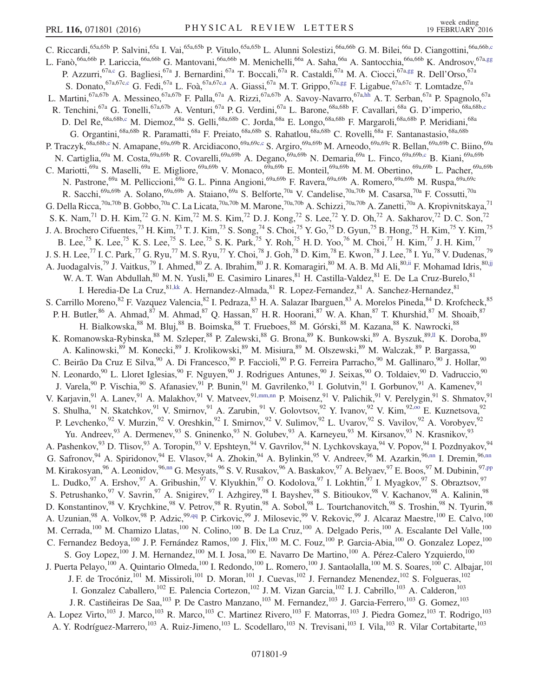<span id="page-8-8"></span><span id="page-8-7"></span><span id="page-8-6"></span><span id="page-8-5"></span><span id="page-8-4"></span><span id="page-8-3"></span><span id="page-8-2"></span><span id="page-8-1"></span><span id="page-8-0"></span>C. Riccardi,<sup>65a,65b</sup> P. Salvini,<sup>65a</sup> I. Vai,<sup>65a,65b</sup> P. Vitulo,<sup>65a,65b</sup> L. Alunni Solestizi,<sup>66a,66b</sup> G. M. Bilei,<sup>66a</sup> D. Ciangottini,<sup>66a,66[b,c](#page-15-1)</sup> L. Fanò,<sup>66a,66b</sup> P. Lariccia,<sup>66a,66b</sup> G. Mantovani,<sup>66a,66b</sup> M. Menichelli,<sup>66a</sup> A. Saha,<sup>66a</sup> A. Santocchia,<sup>66a,66b</sup> K. Androsov,<sup>67[a,gg](#page-15-30)</sup> P. Azzurri,<sup>67[a,c](#page-15-1)</sup> G. Bagliesi,<sup>67a</sup> J. Bernardini,<sup>67a</sup> T. Boccali,<sup>67a</sup> R. Castaldi,<sup>67a</sup> M. A. Ciocci,<sup>67[a,gg](#page-15-30)</sup> R. Dell'Orso,<sup>67a</sup> S. Donato,  $6^{7a,67c,c}$  $6^{7a,67c,c}$  $6^{7a,67c,c}$  G. Fedi,  $6^{7a}$  L. Foà,  $6^{7a,67c,a}$  $6^{7a,67c,a}$  $6^{7a,67c,a}$  A. Giassi,  $6^{7a}$  M. T. Grippo,  $6^{7a,gg}$  $6^{7a,gg}$  $6^{7a,gg}$  F. Ligabue,  $6^{7a,67c}$  T. Lomtadze,  $6^{7a}$ L. Martini,<sup>67a,67b</sup> A. Messineo,<sup>67a,67b</sup> F. Palla,<sup>67a</sup> A. Rizzi,<sup>67a,67b</sup> A. Savoy-Navarro,<sup>67[a,hh](#page-15-32)</sup> A. T. Serban,<sup>67a</sup> P. Spagnolo,<sup>67a</sup> R. Tenchini,<sup>67a</sup> G. Tonelli,<sup>67a,67b</sup> A. Venturi,<sup>67a</sup> P. G. Verdini,<sup>67a</sup> L. Barone,<sup>68a,68b</sup> F. Cavallari,<sup>68a</sup> G. D'imperio,<sup>68a,68b[,c](#page-15-1)</sup> D. Del Re,<sup>68a,68b[,c](#page-15-1)</sup> M. Diemoz,<sup>68a</sup> S. Gelli,<sup>68a,68b</sup> C. Jorda,<sup>68a</sup> E. Longo,<sup>68a,68b</sup> F. Margaroli,<sup>68a,68b</sup> P. Meridiani,<sup>68a</sup> G. Organtini,<sup>68a,68b</sup> R. Paramatti,<sup>68a</sup> F. Preiato,<sup>68a,68b</sup> S. Rahatlou,<sup>68a,68b</sup> C. Rovelli,<sup>68a</sup> F. Santanastasio,<sup>68a,68b</sup> P. Traczyk,<sup>68a,68[b,c](#page-15-1)</sup> N. Amapane,<sup>69a,69b</sup> R. Arcidiacono,<sup>69a,69[c,c](#page-15-1)</sup> S. Argiro,<sup>69a,69b</sup> M. Arneodo,<sup>69a,69c</sup> R. Bellan,<sup>69a,69b</sup> C. Biino,<sup>69a</sup> N. Cartiglia,<sup>69a</sup> M. Costa,<sup>69a,69b</sup> R. Covarelli,<sup>69a,69b</sup> A. Degano,<sup>69a,69b</sup> N. Demaria,<sup>69a</sup> L. Finco,<sup>69a,69b[,c](#page-15-1)</sup> B. Kiani,<sup>69a,69b</sup> C. Mariotti,<sup>69a</sup> S. Maselli,<sup>69a</sup> E. Migliore,<sup>69a,69b</sup> V. Monaco,<sup>69a,69b</sup> E. Monteil,<sup>69a,69b</sup> M. M. Obertino,<sup>69a,69b</sup> L. Pacher,<sup>69a,69b</sup> N. Pastrone,<sup>69a</sup> M. Pelliccioni,<sup>69a</sup> G. L. Pinna Angioni,<sup>69a,69b</sup> F. Ravera,<sup>69a,69b</sup> A. Romero,<sup>69a,69b</sup> M. Ruspa,<sup>69a,69c</sup> R. Sacchi,<sup>69a,69b</sup> A. Solano,<sup>69a,69b</sup> A. Staiano,<sup>69a</sup> S. Belforte,<sup>70a</sup> V. Candelise,<sup>70a,70b</sup> M. Casarsa,<sup>70a</sup> F. Cossutti,<sup>70a</sup> G. Della Ricca,  $^{70a,70b}$  B. Gobbo,  $^{70a}$  C. La Licata,  $^{70a,70b}$  M. Marone,  $^{70a,70b}$  A. Schizzi,  $^{70a,70b}$  A. Zanetti,  $^{70a}$  A. Kropivnitskaya, $^{71}$ S. K. Nam,<sup>71</sup> D. H. Kim,<sup>72</sup> G. N. Kim,<sup>72</sup> M. S. Kim,<sup>72</sup> D. J. Kong,<sup>72</sup> S. Lee,<sup>72</sup> Y. D. Oh,<sup>72</sup> A. Sakharov,<sup>72</sup> D. C. Son,<sup>72</sup> J. A. Brochero Cifuentes,<sup>73</sup> H. Kim,<sup>73</sup> T. J. Kim,<sup>73</sup> S. Song,<sup>74</sup> S. Choi,<sup>75</sup> Y. Go,<sup>75</sup> D. Gyun,<sup>75</sup> B. Hong,<sup>75</sup> H. Kim,<sup>75</sup> Y. Kim,<sup>75</sup> B. Lee,<sup>75</sup> K. Lee,<sup>75</sup> K. S. Lee,<sup>75</sup> S. Lee,<sup>75</sup> S. K. Park,<sup>75</sup> Y. Roh,<sup>75</sup> H. D. Yoo,<sup>76</sup> M. Choi,<sup>77</sup> H. Kim,<sup>77</sup> J. H. Kim,<sup>77</sup> J. S. H. Lee,<sup>77</sup> I. C. Park,<sup>77</sup> G. Ryu,<sup>77</sup> M. S. Ryu,<sup>77</sup> Y. Choi,<sup>78</sup> J. Goh,<sup>78</sup> D. Kim,<sup>78</sup> E. Kwon,<sup>78</sup> J. Lee,<sup>78</sup> I. Yu,<sup>78</sup> V. Dudenas,<sup>79</sup> A. Juodagalvis,<sup>79</sup> J. Vaitkus,<sup>79</sup> I. Ahmed,<sup>80</sup> Z. A. Ibrahim,<sup>80</sup> J. R. Komaragiri,<sup>80</sup> M. A. B. Md Ali,<sup>80[,ii](#page-15-33)</sup> F. Mohamad Idris,<sup>8[0,jj](#page-15-34)</sup> W. A. T. Wan Abdullah,  $80$  M. N. Yusli,  $80$  E. Casimiro Linares,  $81$  H. Castilla-Valdez,  $81$  E. De La Cruz-Burelo,  $81$ I. Heredia-De La Cruz, <sup>81[,kk](#page-15-35)</sup> A. Hernandez-Almada,<sup>81</sup> R. Lopez-Fernandez,<sup>81</sup> A. Sanchez-Hernandez,<sup>81</sup> L. Sanchez-Hernandez,<sup>81</sup> A. Sanchez-Hernandez,<sup>81</sup> A. Sanchez-Hernandez,<sup>81</sup> A. Sanchez-Hernandez,<sup>81</sup> A. Sanchez-H S. Carrillo Moreno, <sup>82</sup> F. Vazquez Valencia, <sup>82</sup> I. Pedraza, <sup>83</sup> H. A. Salazar Ibarguen, <sup>83</sup> A. Morelos Pineda, <sup>84</sup> D. Krofcheck, <sup>85</sup> P. H. Butler, <sup>86</sup> A. Ahmad, <sup>87</sup> M. Ahmad, <sup>87</sup> Q. Hassan, <sup>87</sup> H. R. Hoorani, <sup>87</sup> W. A. Khan, <sup>87</sup> T. Khurshid, <sup>87</sup> M. Shoaib, <sup>87</sup> H. Bialkowska, <sup>88</sup> M. Bluj, <sup>88</sup> B. Boimska, <sup>88</sup> T. Frueboes, <sup>88</sup> M. Górski, <sup>88</sup> M. Kazana, <sup>88</sup> K. Nawrocki, <sup>88</sup> K. Romanowska-Rybinska,<sup>88</sup> M. Szleper,<sup>88</sup> P. Zalewski,<sup>88</sup> G. Brona,<sup>89</sup> K. Bunkowski,<sup>89</sup> A. Byszuk,<sup>89,11</sup> K. Doroba,<sup>89</sup> A. Kalinowski,<sup>89</sup> M. Konecki,<sup>89</sup> J. Krolikowski,<sup>89</sup> M. Misiura,<sup>89</sup> M. Olszewski,<sup>89</sup> M. Walczak,<sup>89</sup> P. Bargassa,<sup>90</sup> C. Beirão Da Cruz E Silva,<sup>90</sup> A. Di Francesco,<sup>90</sup> P. Faccioli,<sup>90</sup> P. G. Ferreira Parracho,<sup>90</sup> M. Gallinaro,<sup>90</sup> J. Hollar,<sup>90</sup> N. Leonardo,<sup>90</sup> L. Lloret Iglesias,<sup>90</sup> F. Nguyen,<sup>90</sup> J. Rodrigues Antunes,<sup>90</sup> J. Seixas,<sup>90</sup> O. Toldaiev,<sup>90</sup> D. Vadruccio,<sup>90</sup> J. Varela,  $90$  P. Vischia,  $90$  S. Afanasiev,  $91$  P. Bunin,  $91$  M. Gavrilenko,  $91$  I. Golutvin,  $91$  I. Gorbunov,  $91$  A. Kamenev,  $91$ V. Karjavin,<sup>91</sup> A. Lanev,<sup>91</sup> A. Malakhov,<sup>91</sup> V. Matveev,<sup>91[,mm,nn](#page-15-37)</sup> P. Moisenz,<sup>91</sup> V. Palichik,<sup>91</sup> V. Perelygin,<sup>91</sup> S. Shmatov,<sup>91</sup> S. Shulha, <sup>91</sup> N. Skatchkov, <sup>91</sup> V. Smirnov, <sup>91</sup> A. Zarubin, <sup>91</sup> V. Golovtsov, <sup>92</sup> Y. Ivanov, <sup>92</sup> V. Kim, <sup>92,00</sup> E. Kuznetsova, <sup>92</sup> P. Levchenko,<sup>92</sup> V. Murzin,<sup>92</sup> V. Oreshkin,<sup>92</sup> I. Smirnov,<sup>92</sup> V. Sulimov,<sup>92</sup> L. Uvarov,<sup>92</sup> S. Vavilov,<sup>92</sup> A. Vorobyev,<sup>92</sup> Yu. Andreev, <sup>93</sup> A. Dermenev, <sup>93</sup> S. Gninenko, <sup>93</sup> N. Golubev, <sup>93</sup> A. Karneyeu, <sup>93</sup> M. Kirsanov, <sup>93</sup> N. Krasnikov, <sup>93</sup> A. Pashenkov, <sup>93</sup> D. Tlisov, <sup>93</sup> A. Toropin, <sup>93</sup> V. Epshteyn, <sup>94</sup> V. Gavrilov, <sup>94</sup> N. Lychkovskaya, <sup>94</sup> V. Popov, <sup>94</sup> I. Pozdnyakov, <sup>94</sup> G. Safronov, <sup>94</sup> A. Spiridonov, <sup>94</sup> E. Vlasov, <sup>94</sup> A. Zhokin, <sup>94</sup> A. Bylinkin, <sup>95</sup> V. Andreev, <sup>96</sup> M. Azarkin, <sup>9[6,nn](#page-15-38)</sup> I. Dremin, <sup>96[,nn](#page-15-38)</sup> M. Kirakosyan, $^{96}$  A. Leonidov, $^{96,nn}$  $^{96,nn}$  $^{96,nn}$  G. Mesyats, $^{96}$  S. V. Rusakov, $^{96}$  A. Baskakov, $^{97}$  A. Belyaev, $^{97}$  E. Boos, $^{97}$  M. Dubinin, $^{97,pp}$  $^{97,pp}$  $^{97,pp}$ L. Dudko,<sup>97</sup> A. Ershov,<sup>97</sup> A. Gribushin,<sup>97</sup> V. Klyukhin,<sup>97</sup> O. Kodolova,<sup>97</sup> I. Lokhtin,<sup>97</sup> I. Myagkov,<sup>97</sup> S. Obraztsov,<sup>97</sup> S. Petrushanko, <sup>97</sup> V. Savrin, <sup>97</sup> A. Snigirev, <sup>97</sup> I. Azhgirey, <sup>98</sup> I. Bayshev, <sup>98</sup> S. Bitioukov, <sup>98</sup> V. Kachanov, <sup>98</sup> A. Kalinin, <sup>98</sup> D. Konstantinov,<sup>98</sup> V. Krychkine,<sup>98</sup> V. Petrov,<sup>98</sup> R. Ryutin,<sup>98</sup> A. Sobol,<sup>98</sup> L. Tourtchanovitch,<sup>98</sup> S. Troshin,<sup>98</sup> N. Tyurin,<sup>98</sup> A. Uzunian, <sup>98</sup> A. Volkov, <sup>98</sup> P. Adzic, <sup>99[,qq](#page-16-2)</sup> P. Cirkovic, <sup>99</sup> J. Milosevic, <sup>99</sup> V. Rekovic, <sup>99</sup> J. Alcaraz Maestre, <sup>100</sup> E. Calvo, <sup>100</sup> M. Cerrada,<sup>100</sup> M. Chamizo Llatas,<sup>100</sup> N. Colino,<sup>100</sup> B. De La Cruz,<sup>100</sup> A. Delgado Peris,<sup>100</sup> A. Escalante Del Valle,<sup>100</sup> C. Fernandez Bedoya,<sup>100</sup> J. P. Fernández Ramos,<sup>100</sup> J. Flix,<sup>100</sup> M. C. Fouz,<sup>100</sup> P. Garcia-Abia,<sup>100</sup> O. Gonzalez Lopez,<sup>100</sup> S. Goy Lopez,<sup>100</sup> J.M. Hernandez,<sup>100</sup> M. I. Josa,<sup>100</sup> E. Navarro De Martino,<sup>100</sup> A. Pérez-Calero Yzquierdo,<sup>100</sup> J. Puerta Pelayo,<sup>100</sup> A. Quintario Olmeda,<sup>100</sup> I. Redondo,<sup>100</sup> L. Romero,<sup>100</sup> J. Santaolalla,<sup>100</sup> M. S. Soares,<sup>100</sup> C. Albajar,<sup>101</sup> J. F. de Trocóniz,<sup>101</sup> M. Missiroli,<sup>101</sup> D. Moran,<sup>101</sup> J. Cuevas,<sup>102</sup> J. Fernandez Menendez,<sup>102</sup> S. Folgueras,<sup>102</sup> I. Gonzalez Caballero,<sup>102</sup> E. Palencia Cortezon,<sup>102</sup> J. M. Vizan Garcia,<sup>102</sup> I. J. Cabrillo,<sup>103</sup> A. Calderon,<sup>103</sup> J. R. Castiñeiras De Saa,<sup>103</sup> P. De Castro Manzano,<sup>103</sup> M. Fernandez,<sup>103</sup> J. Garcia-Ferrero,<sup>103</sup> G. Gomez,<sup>103</sup> A. Lopez Virto,<sup>103</sup> J. Marco,<sup>103</sup> R. Marco,<sup>103</sup> C. Martinez Rivero,<sup>103</sup> F. Matorras,<sup>103</sup> J. Piedra Gomez,<sup>103</sup> T. Rodrigo,<sup>103</sup> A. Y. Rodríguez-Marrero,<sup>103</sup> A. Ruiz-Jimeno,<sup>103</sup> L. Scodellaro,<sup>103</sup> N. Trevisani,<sup>103</sup> I. Vila,<sup>103</sup> R. Vilar Cortabitarte,<sup>103</sup>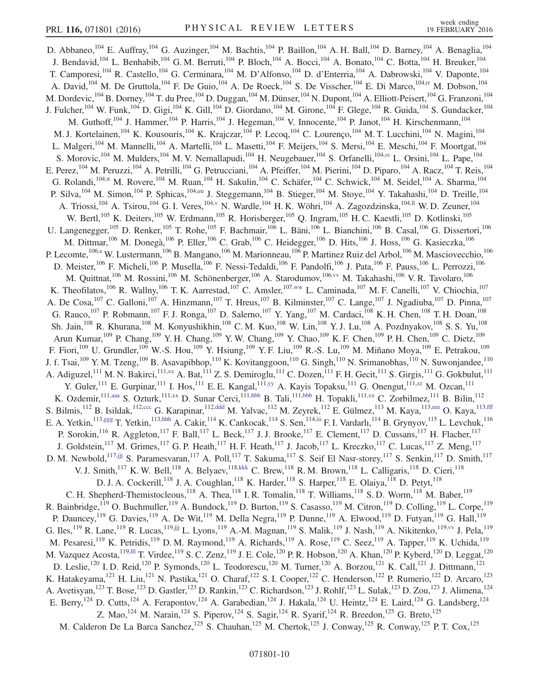<span id="page-9-11"></span><span id="page-9-10"></span><span id="page-9-9"></span><span id="page-9-8"></span><span id="page-9-7"></span><span id="page-9-6"></span><span id="page-9-5"></span><span id="page-9-4"></span><span id="page-9-3"></span><span id="page-9-2"></span><span id="page-9-1"></span><span id="page-9-0"></span>D. Abbaneo,<sup>104</sup> E. Auffray,<sup>104</sup> G. Auzinger,<sup>104</sup> M. Bachtis,<sup>104</sup> P. Baillon,<sup>104</sup> A. H. Ball,<sup>104</sup> D. Barney,<sup>104</sup> A. Benaglia,<sup>104</sup> J. Bendavid,  $^{104}$  L. Benhabib,  $^{104}$  G. M. Berruti,  $^{104}$  P. Bloch,  $^{104}$  A. Bocci,  $^{104}$  A. Bonato,  $^{104}$  C. Botta,  $^{104}$  H. Breuker,  $^{104}$ T. Camporesi,<sup>104</sup> R. Castello,<sup>104</sup> G. Cerminara,<sup>104</sup> M. D'Alfonso,<sup>104</sup> D. d'Enterria,<sup>104</sup> A. Dabrowski,<sup>104</sup> V. Daponte,<sup>104</sup> A. David,  $^{104}$  M. De Gruttola,  $^{104}$  F. De Guio,  $^{104}$  A. De Roeck,  $^{104}$  S. De Visscher,  $^{104}$  E. Di Marco,  $^{104,rr}$  $^{104,rr}$  $^{104,rr}$  M. Dobson,  $^{104}$ M. Dordevic, <sup>104</sup> B. Dorney, <sup>104</sup> T. du Pree, <sup>104</sup> D. Duggan, <sup>104</sup> M. Dünser, <sup>104</sup> N. Dupont, <sup>104</sup> A. Elliott-Peisert, <sup>104</sup> G. Franzoni, <sup>104</sup> J. Fulcher,<sup>104</sup> W. Funk,<sup>104</sup> D. Gigi,<sup>104</sup> K. Gill,<sup>104</sup> D. Giordano,<sup>104</sup> M. Girone,<sup>104</sup> F. Glege,<sup>104</sup> R. Guida,<sup>104</sup> S. Gundacker,<sup>104</sup> M. Guthoff,<sup>104</sup> J. Hammer,<sup>104</sup> P. Harris,<sup>104</sup> J. Hegeman,<sup>104</sup> V. Innocente,<sup>104</sup> P. Janot,<sup>104</sup> H. Kirschenmann,<sup>104</sup> M. J. Kortelainen,<sup>104</sup> K. Kousouris,<sup>104</sup> K. Krajczar,<sup>104</sup> P. Lecoq,<sup>104</sup> C. Lourenço,<sup>104</sup> M. T. Lucchini,<sup>104</sup> N. Magini,<sup>104</sup> L. Malgeri,<sup>104</sup> M. Mannelli,<sup>104</sup> A. Martelli,<sup>104</sup> L. Masetti,<sup>104</sup> F. Meijers,<sup>104</sup> S. Mersi,<sup>104</sup> E. Meschi,<sup>104</sup> F. Moortgat,<sup>104</sup> S. Morovic, <sup>104</sup> M. Mulders, <sup>104</sup> M. V. Nemallapudi, <sup>104</sup> H. Neugebauer, <sup>104</sup> S. Orfanelli, <sup>104[,ss](#page-16-4)</sup> L. Orsini, <sup>104</sup> L. Pape, <sup>104</sup> E. Perez, <sup>104</sup> M. Peruzzi, <sup>104</sup> A. Petrilli, <sup>104</sup> G. Petrucciani, <sup>104</sup> A. Pfeiffer, <sup>104</sup> M. Pierini, <sup>104</sup> D. Piparo, <sup>104</sup> A. Racz, <sup>104</sup> T. Reis, <sup>104</sup> G. Rolandi,  $104, t$ t M. Rovere,  $104$  M. Ruan,  $104$  H. Sakulin,  $104$  C. Schäfer,  $104$  C. Schwick,  $104$  M. Seidel,  $104$  A. Sharma,  $104$ P. Silva,<sup>104</sup> M. Simon,<sup>104</sup> P. Sphicas,<sup>104[,uu](#page-16-6)</sup> J. Steggemann,<sup>104</sup> B. Stieger,<sup>104</sup> M. Stoye,<sup>104</sup> Y. Takahashi,<sup>104</sup> D. Treille,<sup>104</sup> A. Triossi,<sup>104</sup> A. Tsirou,<sup>104</sup> G. I. Veres,<sup>10[4,v](#page-15-19)</sup> N. Wardle,<sup>104</sup> H. K. Wöhri,<sup>104</sup> A. Zagozdzinska,<sup>104[,ll](#page-15-36)</sup> W. D. Zeuner,<sup>104</sup> W. Bertl,<sup>105</sup> K. Deiters,<sup>105</sup> W. Erdmann,<sup>105</sup> R. Horisberger,<sup>105</sup> Q. Ingram,<sup>105</sup> H. C. Kaestli,<sup>105</sup> D. Kotlinski,<sup>105</sup> U. Langenegger,<sup>105</sup> D. Renker,<sup>105</sup> T. Rohe,<sup>105</sup> F. Bachmair,<sup>106</sup> L. Bäni,<sup>106</sup> L. Bianchini,<sup>106</sup> B. Casal,<sup>106</sup> G. Dissertori,<sup>106</sup> M. Dittmar, <sup>106</sup> M. Donegà, <sup>106</sup> P. Eller, <sup>106</sup> C. Grab, <sup>106</sup> C. Heidegger, <sup>106</sup> D. Hits, <sup>106</sup> J. Hoss, <sup>106</sup> G. Kasieczka, <sup>106</sup> P. Lecomte,<sup>10[6,a](#page-15-31)</sup> W. Lustermann,<sup>106</sup> B. Mangano,<sup>106</sup> M. Marionneau,<sup>106</sup> P. Martinez Ruiz del Arbol,<sup>106</sup> M. Masciovecchio,<sup>106</sup> D. Meister,<sup>106</sup> F. Micheli,<sup>106</sup> P. Musella,<sup>106</sup> F. Nessi-Tedaldi,<sup>106</sup> F. Pandolfi,<sup>106</sup> J. Pata,<sup>106</sup> F. Pauss,<sup>106</sup> L. Perrozzi,<sup>106</sup> M. Quittnat,<sup>106</sup> M. Rossini,<sup>106</sup> M. Schönenberger,<sup>106</sup> A. Starodumov,<sup>10[6,vv](#page-16-7)</sup> M. Takahashi,<sup>106</sup> V. R. Tavolaro,<sup>106</sup> K. Theofilatos,  $^{106}$  R. Wallny,  $^{106}$  T. K. Aarrestad,  $^{107}$  C. Amsler,  $^{107,ww}$  $^{107,ww}$  $^{107,ww}$  L. Caminada,  $^{107}$  M. F. Canelli,  $^{107}$  V. Chiochia,  $^{107}$ A. De Cosa,<sup>107</sup> C. Galloni,<sup>107</sup> A. Hinzmann,<sup>107</sup> T. Hreus,<sup>107</sup> B. Kilminster,<sup>107</sup> C. Lange,<sup>107</sup> J. Ngadiuba,<sup>107</sup> D. Pinna,<sup>107</sup> G. Rauco,<sup>107</sup> P. Robmann,<sup>107</sup> F. J. Ronga,<sup>107</sup> D. Salerno,<sup>107</sup> Y. Yang,<sup>107</sup> M. Cardaci,<sup>108</sup> K. H. Chen,<sup>108</sup> T. H. Doan,<sup>108</sup> Sh. Jain,<sup>108</sup> R. Khurana,<sup>108</sup> M. Konyushikhin,<sup>108</sup> C.M. Kuo,<sup>108</sup> W. Lin,<sup>108</sup> Y. J. Lu,<sup>108</sup> A. Pozdnyakov,<sup>108</sup> S. S. Yu,<sup>108</sup> Arun Kumar,<sup>109</sup> P. Chang,<sup>109</sup> Y. H. Chang,<sup>109</sup> Y. W. Chang,<sup>109</sup> Y. Chao,<sup>109</sup> K. F. Chen,<sup>109</sup> P. H. Chen,<sup>109</sup> C. Dietz,<sup>109</sup> F. Fiori,<sup>109</sup> U. Grundler,<sup>109</sup> W.-S. Hou,<sup>109</sup> Y. Hsiung,<sup>109</sup> Y. F. Liu,<sup>109</sup> R.-S. Lu,<sup>109</sup> M. Miñano Moya,<sup>109</sup> E. Petrakou,<sup>109</sup> J. f. Tsai,<sup>109</sup> Y. M. Tzeng,<sup>109</sup> B. Asavapibhop,<sup>110</sup> K. Kovitanggoon,<sup>110</sup> G. Singh,<sup>110</sup> N. Srimanobhas,<sup>110</sup> N. Suwonjandee,<sup>110</sup> A. Adiguzel,<sup>111</sup> M. N. Bakirci,<sup>11[1,xx](#page-16-9)</sup> A. Bat,<sup>111</sup> Z. S. Demiroglu,<sup>111</sup> C. Dozen,<sup>111</sup> F. H. Gecit,<sup>111</sup> S. Girgis,<sup>111</sup> G. Gokbulut,<sup>111</sup> Y. Guler, <sup>111</sup> E. Gurpinar, <sup>111</sup> I. Hos, <sup>111</sup> E. E. Kangal, <sup>111[,yy](#page-16-10)</sup> A. Kayis Topaksu, <sup>111</sup> G. Onengut, <sup>11[1,zz](#page-16-11)</sup> M. Ozcan, <sup>111</sup> K. Ozdemir,<sup>111[,aaa](#page-16-12)</sup> S. Ozturk,<sup>111[,xx](#page-16-9)</sup> D. Sunar Cerci,<sup>111[,bbb](#page-16-13)</sup> B. Tali,<sup>11[1,bbb](#page-16-13)</sup> H. Topakli,<sup>111,xx</sup> C. Zorbilmez,<sup>111</sup> B. Bilin,<sup>112</sup> S. Bilmis, <sup>112</sup> B. Isildak, <sup>112, ccc</sup> G. Karapinar, <sup>112, ddd</sup> M. Yalvac, <sup>112</sup> M. Zeyrek, <sup>112</sup> E. Gülmez, <sup>113</sup> M. Kaya, <sup>113, eee</sup> O. Kaya, <sup>113, fff</sup> E. A. Yetkin, <sup>11[3,ggg](#page-16-18)</sup> T. Yetkin, <sup>11[3,hhh](#page-16-19)</sup> A. Cakir, <sup>114</sup> K. Cankocak, <sup>114</sup> S. Sen, <sup>114[,iii](#page-16-20)</sup> F. I. Vardarlı, <sup>114</sup> B. Grynyov, <sup>115</sup> L. Levchuk, <sup>116</sup> P. Sorokin,<sup>116</sup> R. Aggleton,<sup>117</sup> F. Ball,<sup>117</sup> L. Beck,<sup>117</sup> J. J. Brooke,<sup>117</sup> E. Clement,<sup>117</sup> D. Cussans,<sup>117</sup> H. Flacher,<sup>117</sup> J. Goldstein,<sup>117</sup> M. Grimes,<sup>117</sup> G. P. Heath,<sup>117</sup> H. F. Heath,<sup>117</sup> J. Jacob,<sup>117</sup> L. Kreczko,<sup>117</sup> C. Lucas,<sup>117</sup> Z. Meng,<sup>117</sup> D. M. Newbold,<sup>11[7,jjj](#page-16-21)</sup> S. Paramesvaran,<sup>117</sup> A. Poll,<sup>117</sup> T. Sakuma,<sup>117</sup> S. Seif El Nasr-storey,<sup>117</sup> S. Senkin,<sup>117</sup> D. Smith,<sup>117</sup> V. J. Smith,<sup>117</sup> K. W. Bell,<sup>118</sup> A. Belyaev,<sup>118[,kkk](#page-16-22)</sup> C. Brew,<sup>118</sup> R. M. Brown,<sup>118</sup> L. Calligaris,<sup>118</sup> D. Cieri,<sup>118</sup> D. J. A. Cockerill,<sup>118</sup> J. A. Coughlan,<sup>118</sup> K. Harder,<sup>118</sup> S. Harper,<sup>118</sup> E. Olaiya,<sup>118</sup> D. Petyt,<sup>118</sup> C. H. Shepherd-Themistocleous,<sup>118</sup> A. Thea,<sup>118</sup> I. R. Tomalin,<sup>118</sup> T. Williams,<sup>118</sup> S. D. Worm,<sup>118</sup> M. Baber,<sup>119</sup> R. Bainbridge,  $^{119}$  O. Buchmuller,  $^{119}$  A. Bundock,  $^{119}$  D. Burton,  $^{119}$  S. Casasso,  $^{119}$  M. Citron,  $^{119}$  D. Colling,  $^{119}$  L. Corpe,  $^{119}$ P. Dauncey, <sup>119</sup> G. Davies, <sup>119</sup> A. De Wit, <sup>119</sup> M. Della Negra, <sup>119</sup> P. Dunne, <sup>119</sup> A. Elwood, <sup>119</sup> D. Futyan, <sup>119</sup> G. Hall, <sup>119</sup> G. Iles,<sup>119</sup> R. Lane,<sup>119</sup> R. Lucas,<sup>119[,jjj](#page-16-21)</sup> L. Lyons,<sup>119</sup> A.-M. Magnan,<sup>119</sup> S. Malik,<sup>119</sup> J. Nash,<sup>119</sup> A. Nikitenko,<sup>119, $vv$ </sup> J. Pela,<sup>119</sup> M. Pesaresi,<sup>119</sup> K. Petridis,<sup>119</sup> D. M. Raymond,<sup>119</sup> A. Richards,<sup>119</sup> A. Rose,<sup>119</sup> C. Seez,<sup>119</sup> A. Tapper,<sup>119</sup> K. Uchida,<sup>119</sup> M. Vazquez Acosta,<sup>119,111</sup> T. Virdee,<sup>119</sup> S. C. Zenz,<sup>119</sup> J. E. Cole,<sup>120</sup> P. R. Hobson,<sup>120</sup> A. Khan,<sup>120</sup> P. Kyberd,<sup>120</sup> D. Leggat,<sup>120</sup> D. Leslie,<sup>120</sup> I. D. Reid,<sup>120</sup> P. Symonds,<sup>120</sup> L. Teodorescu,<sup>120</sup> M. Turner,<sup>120</sup> A. Borzou,<sup>121</sup> K. Call,<sup>121</sup> J. Dittmann,<sup>121</sup> K. Hatakeyama,<sup>121</sup> H. Liu,<sup>121</sup> N. Pastika,<sup>121</sup> O. Charaf,<sup>122</sup> S. I. Cooper,<sup>122</sup> C. Henderson,<sup>122</sup> P. Rumerio,<sup>122</sup> D. Arcaro,<sup>123</sup> A. Avetisyan,<sup>123</sup> T. Bose,<sup>123</sup> D. Gastler,<sup>123</sup> D. Rankin,<sup>123</sup> C. Richardson,<sup>123</sup> J. Rohlf,<sup>123</sup> L. Sulak,<sup>123</sup> D. Zou,<sup>123</sup> J. Alimena,<sup>124</sup> E. Berry,<sup>124</sup> D. Cutts,<sup>124</sup> A. Ferapontov,<sup>124</sup> A. Garabedian,<sup>124</sup> J. Hakala,<sup>124</sup> U. Heintz,<sup>124</sup> E. Laird,<sup>124</sup> G. Landsberg,<sup>124</sup> Z. Mao,<sup>124</sup> M. Narain,<sup>124</sup> S. Piperov,<sup>124</sup> S. Sagir,<sup>124</sup> R. Syarif,<sup>124</sup> R. Breedon,<sup>125</sup> G. Breto,<sup>125</sup> M. Calderon De La Barca Sanchez,  $^{125}$  S. Chauhan,  $^{125}$  M. Chertok,  $^{125}$  J. Conway,  $^{125}$  R. Conway,  $^{125}$  P. T. Cox,  $^{125}$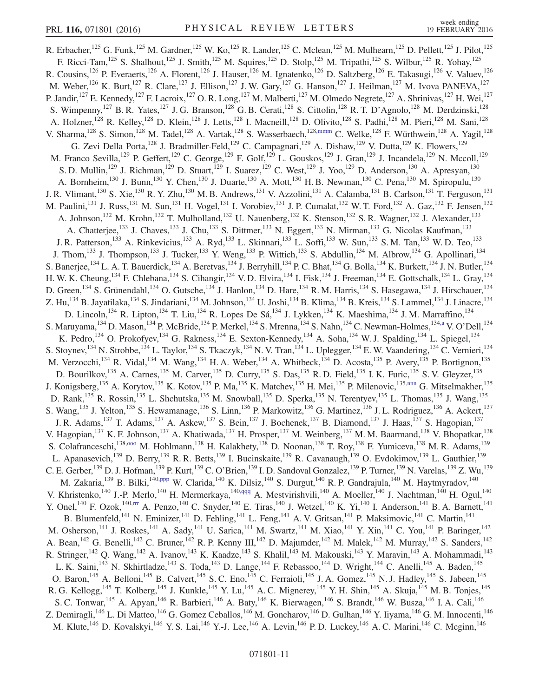<span id="page-10-5"></span><span id="page-10-4"></span><span id="page-10-3"></span><span id="page-10-2"></span><span id="page-10-1"></span><span id="page-10-0"></span>R. Erbacher,<sup>125</sup> G. Funk,<sup>125</sup> M. Gardner,<sup>125</sup> W. Ko,<sup>125</sup> R. Lander,<sup>125</sup> C. Mclean,<sup>125</sup> M. Mulhearn,<sup>125</sup> D. Pellett,<sup>125</sup> J. Pilot,<sup>125</sup> F. Ricci-Tam,<sup>125</sup> S. Shalhout,<sup>125</sup> J. Smith,<sup>125</sup> M. Squires,<sup>125</sup> D. Stolp,<sup>125</sup> M. Tripathi,<sup>125</sup> S. Wilbur,<sup>125</sup> R. Yohay,<sup>125</sup> R. Cousins,<sup>126</sup> P. Everaerts,<sup>126</sup> A. Florent,<sup>126</sup> J. Hauser,<sup>126</sup> M. Ignatenko,<sup>126</sup> D. Saltzberg,<sup>126</sup> E. Takasugi,<sup>126</sup> V. Valuev,<sup>126</sup> M. Weber,<sup>126</sup> K. Burt,<sup>127</sup> R. Clare,<sup>127</sup> J. Ellison,<sup>127</sup> J. W. Gary,<sup>127</sup> G. Hanson,<sup>127</sup> J. Heilman,<sup>127</sup> M. Ivova PANEVA,<sup>127</sup> P. Jandir,<sup>127</sup> E. Kennedy,<sup>127</sup> F. Lacroix,<sup>127</sup> O. R. Long,<sup>127</sup> M. Malberti,<sup>127</sup> M. Olmedo Negrete,<sup>127</sup> A. Shrinivas,<sup>127</sup> H. Wei,<sup>127</sup> S. Wimpenny,<sup>127</sup> B. R. Yates,<sup>127</sup> J. G. Branson,<sup>128</sup> G. B. Cerati,<sup>128</sup> S. Cittolin,<sup>128</sup> R. T. D'Agnolo,<sup>128</sup> M. Derdzinski,<sup>128</sup> A. Holzner,<sup>128</sup> R. Kelley,<sup>128</sup> D. Klein,<sup>128</sup> J. Letts,<sup>128</sup> I. Macneill,<sup>128</sup> D. Olivito,<sup>128</sup> S. Padhi,<sup>128</sup> M. Pieri,<sup>128</sup> M. Sani,<sup>128</sup> V. Sharma,<sup>128</sup> S. Simon,<sup>128</sup> M. Tadel,<sup>128</sup> A. Vartak,<sup>128</sup> S. Wasserbaech,<sup>12[8,mmm](#page-16-24)</sup> C. Welke,<sup>128</sup> F. Würthwein,<sup>128</sup> A. Yagil,<sup>128</sup> G. Zevi Della Porta,<sup>128</sup> J. Bradmiller-Feld,<sup>129</sup> C. Campagnari,<sup>129</sup> A. Dishaw,<sup>129</sup> V. Dutta,<sup>129</sup> K. Flowers,<sup>129</sup> M. Franco Sevilla,<sup>129</sup> P. Geffert,<sup>129</sup> C. George,<sup>129</sup> F. Golf,<sup>129</sup> L. Gouskos,<sup>129</sup> J. Gran,<sup>129</sup> J. Incandela,<sup>129</sup> N. Mccoll,<sup>129</sup> S. D. Mullin,<sup>129</sup> J. Richman,<sup>129</sup> D. Stuart,<sup>129</sup> I. Suarez,<sup>129</sup> C. West,<sup>129</sup> J. Yoo,<sup>129</sup> D. Anderson,<sup>130</sup> A. Apresyan,<sup>130</sup> A. Bornheim,<sup>130</sup> J. Bunn,<sup>130</sup> Y. Chen,<sup>130</sup> J. Duarte,<sup>130</sup> A. Mott,<sup>130</sup> H. B. Newman,<sup>130</sup> C. Pena,<sup>130</sup> M. Spiropulu,<sup>130</sup> J. R. Vlimant,<sup>130</sup> S. Xie,<sup>130</sup> R. Y. Zhu,<sup>130</sup> M. B. Andrews,<sup>131</sup> V. Azzolini,<sup>131</sup> A. Calamba,<sup>131</sup> B. Carlson,<sup>131</sup> T. Ferguson,<sup>131</sup> M. Paulini,<sup>131</sup> J. Russ,<sup>131</sup> M. Sun,<sup>131</sup> H. Vogel,<sup>131</sup> I. Vorobiev,<sup>131</sup> J. P. Cumalat,<sup>132</sup> W. T. Ford,<sup>132</sup> A. Gaz,<sup>132</sup> F. Jensen,<sup>132</sup> A. Johnson,<sup>132</sup> M. Krohn,<sup>132</sup> T. Mulholland,<sup>132</sup> U. Nauenberg,<sup>132</sup> K. Stenson,<sup>132</sup> S. R. Wagner,<sup>132</sup> J. Alexander,<sup>133</sup> A. Chatterjee,<sup>133</sup> J. Chaves,<sup>133</sup> J. Chu,<sup>133</sup> S. Dittmer,<sup>133</sup> N. Eggert,<sup>133</sup> N. Mirman,<sup>133</sup> G. Nicolas Kaufman,<sup>133</sup> J. R. Patterson,<sup>133</sup> A. Rinkevicius,<sup>133</sup> A. Ryd,<sup>133</sup> L. Skinnari,<sup>133</sup> L. Soffi,<sup>133</sup> W. Sun,<sup>133</sup> S. M. Tan,<sup>133</sup> W. D. Teo,<sup>133</sup> J. Thom,<sup>133</sup> J. Thompson,<sup>133</sup> J. Tucker,<sup>133</sup> Y. Weng,<sup>133</sup> P. Wittich,<sup>133</sup> S. Abdullin,<sup>134</sup> M. Albrow,<sup>134</sup> G. Apollinari,<sup>134</sup> S. Banerjee,<sup>134</sup> L. A. T. Bauerdick,<sup>134</sup> A. Beretvas,<sup>134</sup> J. Berryhill,<sup>134</sup> P. C. Bhat,<sup>134</sup> G. Bolla,<sup>134</sup> K. Burkett,<sup>134</sup> J. N. Butler,<sup>134</sup> H. W. K. Cheung, <sup>134</sup> F. Chlebana, <sup>134</sup> S. Cihangir, <sup>134</sup> V. D. Elvira, <sup>134</sup> I. Fisk, <sup>134</sup> J. Freeman, <sup>134</sup> E. Gottschalk, <sup>134</sup> L. Gray, <sup>134</sup> D. Green,<sup>134</sup> S. Grünendahl,<sup>134</sup> O. Gutsche,<sup>134</sup> J. Hanlon,<sup>134</sup> D. Hare,<sup>134</sup> R. M. Harris,<sup>134</sup> S. Hasegawa,<sup>134</sup> J. Hirschauer,<sup>134</sup> Z. Hu,<sup>134</sup> B. Jayatilaka,<sup>134</sup> S. Jindariani,<sup>134</sup> M. Johnson,<sup>134</sup> U. Joshi,<sup>134</sup> B. Klima,<sup>134</sup> B. Kreis,<sup>134</sup> S. Lammel,<sup>134</sup> J. Linacre,<sup>134</sup> D. Lincoln,<sup>134</sup> R. Lipton,<sup>134</sup> T. Liu,<sup>134</sup> R. Lopes De Sá,<sup>134</sup> J. Lykken,<sup>134</sup> K. Maeshima,<sup>134</sup> J. M. Marraffino,<sup>134</sup> S. Maruyama, <sup>134</sup> D. Mason, <sup>134</sup> P. McBride, <sup>134</sup> P. Merkel, <sup>134</sup> S. Mrenna, <sup>134</sup> S. Nahn, <sup>134</sup> C. Newman-Holmes, <sup>13[4,a](#page-15-31)</sup> V. O'Dell, <sup>134</sup> K. Pedro,<sup>134</sup> O. Prokofyev,<sup>134</sup> G. Rakness,<sup>134</sup> E. Sexton-Kennedy,<sup>134</sup> A. Soha,<sup>134</sup> W. J. Spalding,<sup>134</sup> L. Spiegel,<sup>134</sup> S. Stoynev,<sup>134</sup> N. Strobbe,<sup>134</sup> L. Taylor,<sup>134</sup> S. Tkaczyk,<sup>134</sup> N. V. Tran,<sup>134</sup> L. Uplegger,<sup>134</sup> E. W. Vaandering,<sup>134</sup> C. Vernieri,<sup>134</sup> M. Verzocchi, <sup>134</sup> R. Vidal, <sup>134</sup> M. Wang, <sup>134</sup> H. A. Weber, <sup>134</sup> A. Whitbeck, <sup>134</sup> D. Acosta, <sup>135</sup> P. Avery, <sup>135</sup> P. Bortignon, <sup>135</sup> D. Bourilkov,<sup>135</sup> A. Carnes,<sup>135</sup> M. Carver,<sup>135</sup> D. Curry,<sup>135</sup> S. Das,<sup>135</sup> R. D. Field,<sup>135</sup> I. K. Furic,<sup>135</sup> S. V. Gleyzer,<sup>135</sup> J. Konigsberg,<sup>135</sup> A. Korytov,<sup>135</sup> K. Kotov,<sup>135</sup> P. Ma,<sup>135</sup> K. Matchev,<sup>135</sup> H. Mei,<sup>135</sup> P. Milenovic,<sup>135[,nnn](#page-16-25)</sup> G. Mitselmakher,<sup>135</sup> D. Rank,<sup>135</sup> R. Rossin,<sup>135</sup> L. Shchutska,<sup>135</sup> M. Snowball,<sup>135</sup> D. Sperka,<sup>135</sup> N. Terentyev,<sup>135</sup> L. Thomas,<sup>135</sup> J. Wang,<sup>135</sup> S. Wang,  $^{135}$  J. Yelton,  $^{135}$  S. Hewamanage,  $^{136}$  S. Linn,  $^{136}$  P. Markowitz,  $^{136}$  G. Martinez,  $^{136}$  J. L. Rodriguez,  $^{136}$  A. Ackert,  $^{137}$ J. R. Adams,<sup>137</sup> T. Adams,<sup>137</sup> A. Askew,<sup>137</sup> S. Bein,<sup>137</sup> J. Bochenek,<sup>137</sup> B. Diamond,<sup>137</sup> J. Haas,<sup>137</sup> S. Hagopian,<sup>137</sup> V. Hagopian,<sup>137</sup> K. F. Johnson,<sup>137</sup> A. Khatiwada,<sup>137</sup> H. Prosper,<sup>137</sup> M. Weinberg,<sup>137</sup> M. M. Baarmand,<sup>138</sup> V. Bhopatkar,<sup>138</sup> S. Colafranceschi,<sup>138,000</sup> M. Hohlmann,<sup>138</sup> H. Kalakhety,<sup>138</sup> D. Noonan,<sup>138</sup> T. Roy,<sup>138</sup> F. Yumiceva,<sup>138</sup> M. R. Adams,<sup>139</sup> L. Apanasevich,<sup>139</sup> D. Berry,<sup>139</sup> R. R. Betts,<sup>139</sup> I. Bucinskaite,<sup>139</sup> R. Cavanaugh,<sup>139</sup> O. Evdokimov,<sup>139</sup> L. Gauthier,<sup>139</sup> C. E. Gerber,<sup>139</sup> D. J. Hofman,<sup>139</sup> P. Kurt,<sup>139</sup> C. O'Brien,<sup>139</sup> I. D. Sandoval Gonzalez,<sup>139</sup> P. Turner,<sup>139</sup> N. Varelas,<sup>139</sup> Z. Wu,<sup>139</sup> M. Zakaria,<sup>139</sup> B. Bilki,<sup>140[,ppp](#page-16-27)</sup> W. Clarida,<sup>140</sup> K. Dilsiz,<sup>140</sup> S. Durgut,<sup>140</sup> R. P. Gandrajula,<sup>140</sup> M. Haytmyradov,<sup>140</sup> V. Khristenko,<sup>140</sup> J.-P. Merlo,<sup>140</sup> H. Mermerkaya,<sup>140[,qqq](#page-16-28)</sup> A. Mestvirishvili,<sup>140</sup> A. Moeller,<sup>140</sup> J. Nachtman,<sup>140</sup> H. Ogul,<sup>140</sup> Y. Onel,<sup>140</sup> F. Ozok,<sup>14[0,rrr](#page-16-29)</sup> A. Penzo,<sup>140</sup> C. Snyder,<sup>140</sup> E. Tiras,<sup>140</sup> J. Wetzel,<sup>140</sup> K. Yi,<sup>140</sup> I. Anderson,<sup>141</sup> B. A. Barnett,<sup>141</sup> B. Blumenfeld,<sup>141</sup> N. Eminizer,<sup>141</sup> D. Fehling,<sup>141</sup> L. Feng,<sup>141</sup> A. V. Gritsan,<sup>141</sup> P. Maksimovic,<sup>141</sup> C. Martin,<sup>141</sup> M. Osherson,<sup>141</sup> J. Roskes,<sup>141</sup> A. Sady,<sup>141</sup> U. Sarica,<sup>141</sup> M. Swartz,<sup>141</sup> M. Xiao,<sup>141</sup> Y. Xin,<sup>141</sup> C. You,<sup>141</sup> P. Baringer,<sup>142</sup> A. Bean, <sup>142</sup> G. Benelli, <sup>142</sup> C. Bruner, <sup>142</sup> R. P. Kenny III, <sup>142</sup> D. Majumder, <sup>142</sup> M. Malek, <sup>142</sup> M. Murray, <sup>142</sup> S. Sanders, <sup>142</sup> R. Stringer,<sup>142</sup> Q. Wang,<sup>142</sup> A. Ivanov,<sup>143</sup> K. Kaadze,<sup>143</sup> S. Khalil,<sup>143</sup> M. Makouski,<sup>143</sup> Y. Maravin,<sup>143</sup> A. Mohammadi,<sup>143</sup> L. K. Saini,<sup>143</sup> N. Skhirtladze,<sup>143</sup> S. Toda,<sup>143</sup> D. Lange,<sup>144</sup> F. Rebassoo,<sup>144</sup> D. Wright,<sup>144</sup> C. Anelli,<sup>145</sup> A. Baden,<sup>145</sup> O. Baron,<sup>145</sup> A. Belloni,<sup>145</sup> B. Calvert,<sup>145</sup> S. C. Eno,<sup>145</sup> C. Ferraioli,<sup>145</sup> J. A. Gomez,<sup>145</sup> N. J. Hadley,<sup>145</sup> S. Jabeen,<sup>145</sup> R. G. Kellogg, <sup>145</sup> T. Kolberg, <sup>145</sup> J. Kunkle, <sup>145</sup> Y. Lu, <sup>145</sup> A. C. Mignerey, <sup>145</sup> Y. H. Shin, <sup>145</sup> A. Skuja, <sup>145</sup> M. B. Tonjes, <sup>145</sup> S. C. Tonwar, <sup>145</sup> A. Apyan, <sup>146</sup> R. Barbieri, <sup>146</sup> A. Baty, <sup>146</sup> K. Bierwagen, <sup>146</sup> S. Brandt, <sup>146</sup> W. Busza, <sup>146</sup> I. A. Cali, <sup>146</sup> Z. Demiragli,<sup>146</sup> L. Di Matteo,<sup>146</sup> G. Gomez Ceballos,<sup>146</sup> M. Goncharov,<sup>146</sup> D. Gulhan,<sup>146</sup> Y. Iiyama,<sup>146</sup> G. M. Innocenti,<sup>146</sup> M. Klute,<sup>146</sup> D. Kovalskyi,<sup>146</sup> Y. S. Lai,<sup>146</sup> Y.-J. Lee,<sup>146</sup> A. Levin,<sup>146</sup> P. D. Luckey,<sup>146</sup> A. C. Marini,<sup>146</sup> C. Mcginn,<sup>146</sup>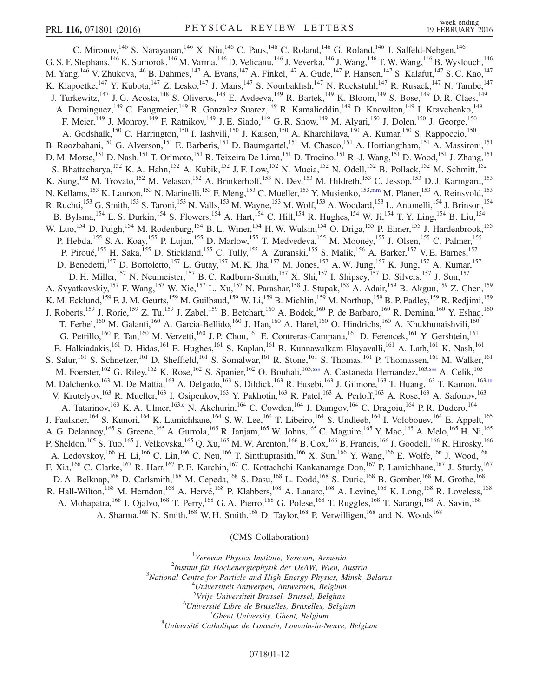C. Mironov,  $^{146}$  S. Narayanan,  $^{146}$  X. Niu,  $^{146}$  C. Paus,  $^{146}$  C. Roland,  $^{146}$  G. Roland,  $^{146}$  J. Salfeld-Nebgen,  $^{146}$ G. S. F. Stephans,  $^{146}$  K. Sumorok,  $^{146}$  M. Varma,  $^{146}$  D. Velicanu,  $^{146}$  J. Veverka,  $^{146}$  J. Wang,  $^{146}$  T. W. Wang,  $^{146}$  B. Wyslouch,  $^{146}$ M. Yang,  $^{146}$  V. Zhukova,  $^{146}$  B. Dahmes,  $^{147}$  A. Evans,  $^{147}$  A. Finkel,  $^{147}$  A. Gude,  $^{147}$  P. Hansen,  $^{147}$  S. Kalafut,  $^{147}$  S. C. Kao,  $^{147}$ K. Klapoetke,<sup>147</sup> Y. Kubota,<sup>147</sup> Z. Lesko,<sup>147</sup> J. Mans,<sup>147</sup> S. Nourbakhsh,<sup>147</sup> N. Ruckstuhl,<sup>147</sup> R. Rusack,<sup>147</sup> N. Tambe,<sup>147</sup> J. Turkewitz,<sup>147</sup> J. G. Acosta,<sup>148</sup> S. Oliveros,<sup>148</sup> E. Avdeeva,<sup>149</sup> R. Bartek,<sup>149</sup> K. Bloom,<sup>149</sup> S. Bose,<sup>149</sup> D. R. Claes,<sup>149</sup> A. Dominguez,<sup>149</sup> C. Fangmeier,<sup>149</sup> R. Gonzalez Suarez,<sup>149</sup> R. Kamalieddin,<sup>149</sup> D. Knowlton,<sup>149</sup> I. Kravchenko,<sup>149</sup> F. Meier,<sup>149</sup> J. Monroy,<sup>149</sup> F. Ratnikov,<sup>149</sup> J. E. Siado,<sup>149</sup> G. R. Snow,<sup>149</sup> M. Alyari,<sup>150</sup> J. Dolen,<sup>150</sup> J. George,<sup>150</sup> A. Godshalk,<sup>150</sup> C. Harrington,<sup>150</sup> I. Iashvili,<sup>150</sup> J. Kaisen,<sup>150</sup> A. Kharchilava,<sup>150</sup> A. Kumar,<sup>150</sup> S. Rappoccio,<sup>150</sup> B. Roozbahani,<sup>150</sup> G. Alverson,<sup>151</sup> E. Barberis,<sup>151</sup> D. Baumgartel,<sup>151</sup> M. Chasco,<sup>151</sup> A. Hortiangtham,<sup>151</sup> A. Massironi,<sup>151</sup> D. M. Morse,<sup>151</sup> D. Nash,<sup>151</sup> T. Orimoto,<sup>151</sup> R. Teixeira De Lima,<sup>151</sup> D. Trocino,<sup>151</sup> R.-J. Wang,<sup>151</sup> D. Wood,<sup>151</sup> J. Zhang,<sup>151</sup> S. Bhattacharya, <sup>152</sup> K. A. Hahn, <sup>152</sup> A. Kubik, <sup>152</sup> J. F. Low, <sup>152</sup> N. Mucia, <sup>152</sup> N. Odell, <sup>152</sup> B. Pollack, <sup>152</sup> M. Schmitt, <sup>152</sup> K. Sung,<sup>152</sup> M. Trovato,<sup>152</sup> M. Velasco,<sup>152</sup> A. Brinkerhoff,<sup>153</sup> N. Dev,<sup>153</sup> M. Hildreth,<sup>153</sup> C. Jessop,<sup>153</sup> D. J. Karmgard,<sup>153</sup> N. Kellams, <sup>153</sup> K. Lannon, <sup>153</sup> N. Marinelli, <sup>153</sup> F. Meng, <sup>153</sup> C. Mueller, <sup>153</sup> Y. Musienko, <sup>15[3,mm](#page-15-37)</sup> M. Planer, <sup>153</sup> A. Reinsvold, <sup>153</sup> R. Ruchti,<sup>153</sup> G. Smith,<sup>153</sup> S. Taroni,<sup>153</sup> N. Valls,<sup>153</sup> M. Wayne,<sup>153</sup> M. Wolf,<sup>153</sup> A. Woodard,<sup>153</sup> L. Antonelli,<sup>154</sup> J. Brinson,<sup>154</sup> B. Bylsma,<sup>154</sup> L. S. Durkin,<sup>154</sup> S. Flowers,<sup>154</sup> A. Hart,<sup>154</sup> C. Hill,<sup>154</sup> R. Hughes,<sup>154</sup> W. Ji,<sup>154</sup> T. Y. Ling,<sup>154</sup> B. Liu,<sup>154</sup> W. Luo,<sup>154</sup> D. Puigh,<sup>154</sup> M. Rodenburg,<sup>154</sup> B. L. Winer,<sup>154</sup> H. W. Wulsin,<sup>154</sup> O. Driga,<sup>155</sup> P. Elmer,<sup>155</sup> J. Hardenbrook,<sup>155</sup> P. Hebda,<sup>155</sup> S. A. Koay,<sup>155</sup> P. Lujan,<sup>155</sup> D. Marlow,<sup>155</sup> T. Medvedeva,<sup>155</sup> M. Mooney,<sup>155</sup> J. Olsen,<sup>155</sup> C. Palmer,<sup>155</sup> P. Piroué,<sup>155</sup> H. Saka,<sup>155</sup> D. Stickland,<sup>155</sup> C. Tully,<sup>155</sup> A. Zuranski,<sup>155</sup> S. Malik,<sup>156</sup> A. Barker,<sup>157</sup> V. E. Barnes,<sup>157</sup> D. Benedetti,<sup>157</sup> D. Bortoletto,<sup>157</sup> L. Gutay,<sup>157</sup> M. K. Jha,<sup>157</sup> M. Jones,<sup>157</sup> A. W. Jung,<sup>157</sup> K. Jung,<sup>157</sup> A. Kumar,<sup>157</sup> D. H. Miller,<sup>157</sup> N. Neumeister,<sup>157</sup> B. C. Radburn-Smith,<sup>157</sup> X. Shi,<sup>157</sup> I. Shipsey,<sup>157</sup> D. Silvers,<sup>157</sup> J. Sun,<sup>157</sup> A. Svyatkovskiy, <sup>157</sup> F. Wang, <sup>157</sup> W. Xie, <sup>157</sup> L. Xu, <sup>157</sup> N. Parashar, <sup>158</sup> J. Stupak, <sup>158</sup> A. Adair, <sup>159</sup> B. Akgun, <sup>159</sup> Z. Chen, <sup>159</sup> K. M. Ecklund,<sup>159</sup> F. J. M. Geurts,<sup>159</sup> M. Guilbaud,<sup>159</sup> W. Li,<sup>159</sup> B. Michlin,<sup>159</sup> M. Northup,<sup>159</sup> B. P. Padley,<sup>159</sup> R. Redjimi,<sup>159</sup> J. Roberts,<sup>159</sup> J. Rorie,<sup>159</sup> Z. Tu,<sup>159</sup> J. Zabel,<sup>159</sup> B. Betchart,<sup>160</sup> A. Bodek,<sup>160</sup> P. de Barbaro,<sup>160</sup> R. Demina,<sup>160</sup> Y. Eshaq,<sup>160</sup> T. Ferbel,<sup>160</sup> M. Galanti,<sup>160</sup> A. Garcia-Bellido,<sup>160</sup> J. Han,<sup>160</sup> A. Harel,<sup>160</sup> O. Hindrichs,<sup>160</sup> A. Khukhunaishvili,<sup>160</sup> G. Petrillo,<sup>160</sup> P. Tan,<sup>160</sup> M. Verzetti,<sup>160</sup> J. P. Chou,<sup>161</sup> E. Contreras-Campana,<sup>161</sup> D. Ferencek,<sup>161</sup> Y. Gershtein,<sup>161</sup> E. Halkiadakis,<sup>161</sup> D. Hidas,<sup>161</sup> E. Hughes,<sup>161</sup> S. Kaplan,<sup>161</sup> R. Kunnawalkam Elayavalli,<sup>161</sup> A. Lath,<sup>161</sup> K. Nash,<sup>161</sup> S. Salur,<sup>161</sup> S. Schnetzer,<sup>161</sup> D. Sheffield,<sup>161</sup> S. Somalwar,<sup>161</sup> R. Stone,<sup>161</sup> S. Thomas,<sup>161</sup> P. Thomassen,<sup>161</sup> M. Walker,<sup>161</sup> M. Foerster,<sup>162</sup> G. Riley,<sup>162</sup> K. Rose,<sup>162</sup> S. Spanier,<sup>162</sup> O. Bouhali,<sup>163[,sss](#page-16-30)</sup> A. Castaneda Hernandez,<sup>163,sss</sup> A. Celik,<sup>163</sup> M. Dalchenko,<sup>163</sup> M. De Mattia,<sup>163</sup> A. Delgado,<sup>163</sup> S. Dildick,<sup>163</sup> R. Eusebi,<sup>163</sup> J. Gilmore,<sup>163</sup> T. Huang,<sup>163</sup> T. Kamon,<sup>16[3,ttt](#page-16-31)</sup> V. Krutelyov,<sup>163</sup> R. Mueller,<sup>163</sup> I. Osipenkov,<sup>163</sup> Y. Pakhotin,<sup>163</sup> R. Patel,<sup>163</sup> A. Perloff,<sup>163</sup> A. Rose,<sup>163</sup> A. Safonov,<sup>163</sup> A. Tatarinov,<sup>163</sup> K. A. Ulmer,<sup>163[,c](#page-15-1)</sup> N. Akchurin,<sup>164</sup> C. Cowden,<sup>164</sup> J. Damgov,<sup>164</sup> C. Dragoiu,<sup>164</sup> P. R. Dudero,<sup>164</sup> J. Faulkner,<sup>164</sup> S. Kunori,<sup>164</sup> K. Lamichhane,<sup>164</sup> S. W. Lee,<sup>164</sup> T. Libeiro,<sup>164</sup> S. Undleeb,<sup>164</sup> I. Volobouev,<sup>164</sup> E. Appelt,<sup>165</sup> A. G. Delannoy, <sup>165</sup> S. Greene, <sup>165</sup> A. Gurrola, <sup>165</sup> R. Janjam, <sup>165</sup> W. Johns, <sup>165</sup> C. Maguire, <sup>165</sup> Y. Mao, <sup>165</sup> A. Melo, <sup>165</sup> H. Ni, <sup>165</sup> P. Sheldon,<sup>165</sup> S. Tuo,<sup>165</sup> J. Velkovska,<sup>165</sup> Q. Xu,<sup>165</sup> M. W. Arenton,<sup>166</sup> B. Cox,<sup>166</sup> B. Francis,<sup>166</sup> J. Goodell,<sup>166</sup> R. Hirosky,<sup>166</sup> A. Ledovskoy,  $^{166}$  H. Li,  $^{166}$  C. Lin,  $^{166}$  C. Neu,  $^{166}$  T. Sinthuprasith,  $^{166}$  X. Sun,  $^{166}$  Y. Wang,  $^{166}$  E. Wolfe,  $^{166}$  J. Wood,  $^{166}$ F. Xia,<sup>166</sup> C. Clarke,<sup>167</sup> R. Harr,<sup>167</sup> P. E. Karchin,<sup>167</sup> C. Kottachchi Kankanamge Don,<sup>167</sup> P. Lamichhane,<sup>167</sup> J. Sturdy,<sup>167</sup> D. A. Belknap, <sup>168</sup> D. Carlsmith, <sup>168</sup> M. Cepeda, <sup>168</sup> S. Dasu, <sup>168</sup> L. Dodd, <sup>168</sup> S. Duric, <sup>168</sup> B. Gomber, <sup>168</sup> M. Grothe, <sup>168</sup> R. Hall-Wilton,<sup>168</sup> M. Herndon,<sup>168</sup> A. Hervé,<sup>168</sup> P. Klabbers,<sup>168</sup> A. Lanaro,<sup>168</sup> A. Levine,<sup>168</sup> K. Long,<sup>168</sup> R. Loveless,<sup>168</sup> A. Mohapatra, <sup>168</sup> I. Ojalvo, <sup>168</sup> T. Perry, <sup>168</sup> G. A. Pierro, <sup>168</sup> G. Polese, <sup>168</sup> T. Ruggles, <sup>168</sup> T. Sarangi, <sup>168</sup> A. Savin, <sup>168</sup> A. Sharma,  $^{168}$  N. Smith,  $^{168}$  W. H. Smith,  $^{168}$  D. Taylor,  $^{168}$  P. Verwilligen,  $^{168}$  and N. Woods  $^{168}$ 

## (CMS Collaboration)

<span id="page-11-1"></span><span id="page-11-0"></span><sup>1</sup>Yerevan Physics Institute, Yerevan, Armenia<sup>2</sup>Institute *Servan Physics Institute*, *New Ocal W. Wign A*  $2$ Institut für Hochenergiephysik der OeAW, Wien, Austria  $3$ National Centre for Particle and High Energy Physics, Minsk, Belarus  $^{4}$ Universiteit Antwerpen, Antwerpen, Belgium <sup>5</sup>Vrije Universiteit Brussel, Brussel, Belgium<br><sup>6</sup>Université Libre de Pruxelles, Pruxelles, Belgium  ${}^{6}$ Université Libre de Bruxelles, Bruxelles, Belgium  $^7$ Ghent University, Ghent, Belgium Université Catholique de Louvain, Louvain-la-Neuve, Belgium

## 071801-12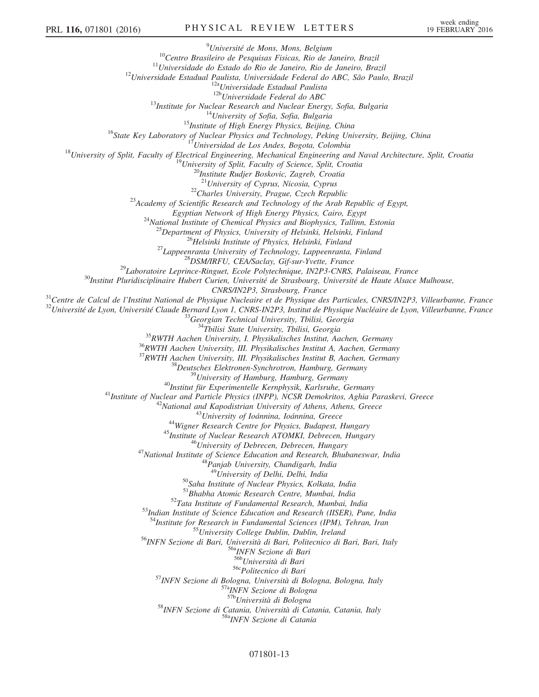<sup>9</sup>Université de Mons, Mons, Belgium

<sup>10</sup>Centro Brasileiro de Pesquisas Físicas, Rio de Janeiro, Brazil<br><sup>11</sup>Universidade do Estado do Rio de Janeiro, Rio de Janeiro, Brazil<br><sup>12</sup>Universidade Estadual Paulista, Universidade Federal do ABC, São Paulo, Brazil<br><sup>1</sup>

<sup>22</sup>Charles University, Prague, Czech Republic<br><sup>23</sup>Academy of Scientific Research and Technology of the Arab Republic of Egypt,

Egyptian Network of High Energy Physics, Cairo, Egypt<br><sup>24</sup>National Institute of Chemical Physics and Biophysics, Tallinn, Estonia<br><sup>25</sup>Department of Physics, University of Helsinki, Helsinki, Finland<br><sup>26</sup>Helsinki Institute

 $NRS/IN2P3$ , Strasbourg, France<br>
<sup>31</sup>Centre de Calcul de l'Institut National de Physique Nucleaire et de Physique des Particules, CNRS/IN2P3, Villeurbanne, France<br>
<sup>32</sup>Université de Lyon, Université Claude Bernard Lyon 1, C

<sup>37</sup>RWTH Aachen University, III. Physikalisches Institut B, Aachen, Germany<br><sup>38</sup>Deutsches Elektronen-Synchrotron, Hamburg, Germany<br><sup>39</sup>University of Hamburg, Hamburg, Germany<br><sup>40</sup>Institut für Experimentelle Kernphysik, Ka

<sup>48</sup>Panjab University, Chandigarh, India<br><sup>49</sup>University of Delhi, Delhi, India<br><sup>50</sup>Saha Institute of Nuclear Physics, Kolkata, India<br><sup>51</sup>Bhabha Atomic Research Centre, Mumbai, India

<sup>52</sup>Tata Institute of Fundamental Research, Mumbai, India<br><sup>53</sup>Indian Institute of Science Education and Research (IISER), Pune, India<br><sup>54</sup>Institute for Research in Fundamental Sciences (IPM), Tehran, Iran

<sup>55</sup>University College Dublin, Dublin, Ireland<br><sup>56</sup>INFN Sezione di Bari, Università di Bari, Politecnico di Bari, Bari, Italy<br><sup>56b</sup>INFN Sezione di Bari<br><sup>56b</sup>Università di Bari

<sup>56c</sup>Politecnico di Bari<br>
<sup>57</sup>INFN Sezione di Bologna, Università di Bologna, Bologna, Italy<br>
<sup>57b</sup>Università di Bologna<br>
<sup>57b</sup>Università di Bologna

<sup>58</sup>INFN Sezione di Catania, Università di Catania, Catania, Italy  $^{58}$ <sub>2</sub>INFN Sezione di Catania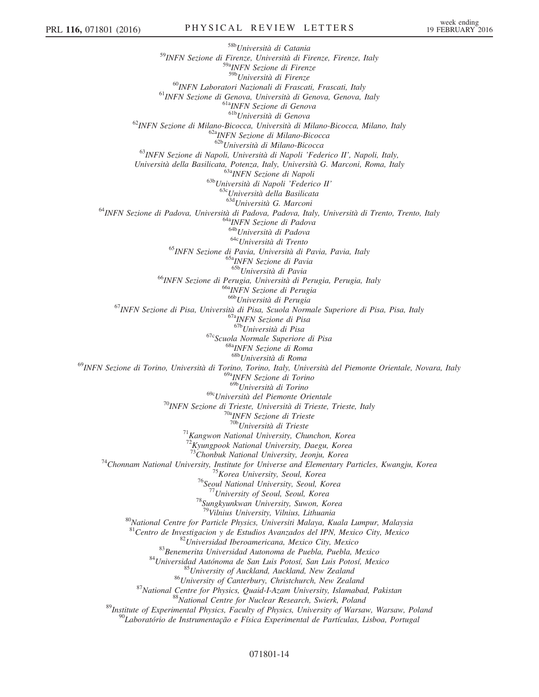58bUniversità di Catania <sup>59</sup>INFN Sezione di Firenze, Università di Firenze, Firenze, Italy <sup>9a</sup>INFN Sezione di Firenze<br><sup>59b</sup>Università di Firenze <sup>60</sup>INFN Laboratori Nazionali di Frascati, Frascati, Italy <sup>61</sup>INFN Sezione di Genova, Università di Genova, Genova, Italy <sup>61a</sup>INFN Sezione di Genova<br><sup>61b</sup>Università di Genova <sup>62</sup>INFN Sezione di Milano-Bicocca, Università di Milano-Bicocca, Milano, Italy 62<sup>a</sup>INFN Sezione di Milano-Bicocca<br><sup>62b</sup>Università di Milano-Bicocca<br><sup>62b</sup>Università di Milano-Bicocca <sup>63</sup>INFN Sezione di Napoli, Università di Napoli 'Federico II', Napoli, Italy, Università della Basilicata, Potenza, Italy, Università G. Marconi, Roma, Italy<br>
<sup>63a</sup>INFN Sezione di Napoli<br>
<sup>63b</sup>Università di Napoli 'Federico II'<br>
<sup>63c</sup>Università della Basilicata<br>
<sup>63d</sup>Università G. Marconi <sup>64</sup>INFN Sezione di Padova, Università di Padova, Padova, Italy, Università di Trento, Trento, Italy<br><sup>64a</sup>INFN Sezione di Padova<br><sup>64b</sup>Università di Padova <sup>64c</sup>Università di Trento <sup>65</sup>INFN Sezione di Pavia, Università di Pavia, Pavia, Italy <sup>65a</sup>INFN Sezione di Pavia<br><sup>65b</sup>Università di Pavia <sup>66</sup>INFN Sezione di Perugia, Università di Perugia, Perugia, Italy<br><sup>66a</sup>INFN Sezione di Perugia<br><sup>66b</sup>Università di Perugia <sup>67</sup>INFN Sezione di Pisa, Università di Pisa, Scuola Normale Superiore di Pisa, Pisa, Italy<br><sup>67a</sup>INFN Sezione di Pisa<br><sup>67b</sup>Università di Pisa  $\frac{67c}{68}$ Scuola Normale Superiore di Pisa  $\frac{68a}{NFN}$  Sezione di Roma 68bUniversità di Roma <sup>69</sup>INFN Sezione di Torino, Università di Torino, Torino, Italy, Università del Piemonte Orientale, Novara, Italy <sup>69a</sup>INFN Sezione di Torino <sup>69b</sup>Università di Torino<br><sup>69c</sup>Università del Piemonte Orientale <sup>70</sup>INFN Sezione di Trieste, Università di Trieste, Trieste, Italy<br><sup>70a</sup>INFN Sezione di Trieste<br><sup>70b</sup>Università di Trieste  $17^1$ Kangwon National University, Chunchon, Korea  $^{72}$ Kyungpook National University, Daegu, Korea<br> $^{73}$ Chonbuk National University, Jeonju, Korea <sup>74</sup>Chonnam National University, Justitute for Universe and Elementary Particles, Kwangju, Korea <sup>75</sup>Korea University, Seoul, Korea 76Seoul National University, Seoul, Korea 77University of Seoul, Seoul, Korea 77Universit <sup>78</sup>Sungkyunkwan University, Suwon, Korea <sup>79</sup>Vilnius University, Vilnius, Lithuania <sup>80</sup>National Centre for Particle Physics, Universiti Malaya, Kuala Lumpur, Malaysia<br><sup>81</sup>Centro de Investigacion y de Estudios Avanzados del IPN, Mexico City, Mexico  $\begin{array}{c}\n \stackrel{82}{3} \stackrel{82}{5} \stackrel{83}{5} \stackrel{84}{5} \stackrel{85}{5} \stackrel{85}{5} \stackrel{86}{5} \stackrel{87}{5} \stackrel{88}{5} \stackrel{88}{5} \stackrel{89}{5} \stackrel{89}{5} \stackrel{80}{5} \stackrel{80}{5} \stackrel{84}{5} \stackrel{85}{5} \stackrel{86}{5} \stackrel{87}{5} \stackrel{88}{5} \stackrel{87}{5} \stackrel{88}{5} \stackrel{89}{5} \stackrel{85}{5} \stackrel{8$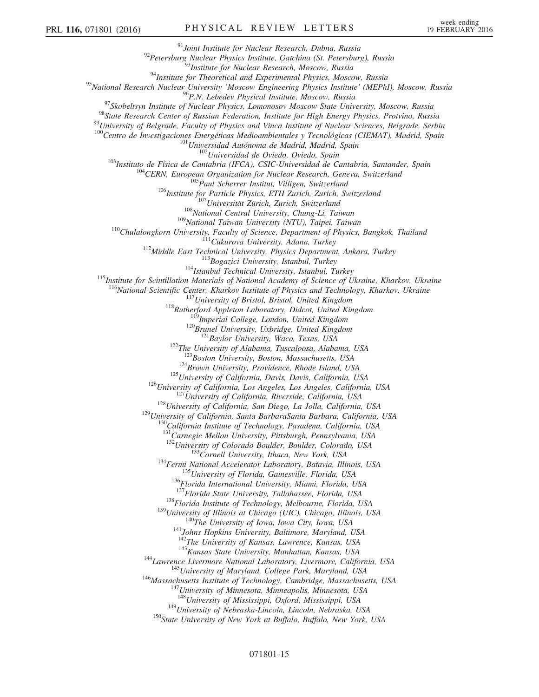<sup>91</sup>Joint Institute for Nuclear Research, Dubna, Russia<br><sup>92</sup>Petersburg Nuclear Physics Institute, Gatchina (St. Petersburg), Russia<br><sup>93</sup>Institute for Nuclear Research, Moscow, Russia<br><sup>94</sup>Institute for Theoretical and Expe <sup>95</sup>National Research Nuclear University 'Moscow Engineering Physics Institute' (MEPhI), Moscow, Russia<br><sup>96</sup>P.N. Lebedev Physical Institute, Moscow, Russia <sup>97</sup>Skobeltsyn Institute of Nuclear Physics, Lomonosov Moscow State University, Moscow, Russia<br><sup>98</sup>State Research Center of Russian Federation, Institute for High Energy Physics, Protvino, Russia<br><sup>99</sup>University of Belgrad  $\begin{small} & & & & \\ 100 \text{Centro de Investigaciones Energéticas Medioambientales y Tecnológicas (CIEMAT), Madrid, Spain \\ & & & & \\ 101 \text{Universidad Autónoma de Madrid, Madrid, Spain \\ & & & & \\ 102 \text{Universidad de Oviedo, Oviedo, Spain \\ & & & & \\ 103 \text{Instituto de Física de Cantabria (IFCA), CSC-Universidad de Cantabria, Santander, Spain \\ & & & & \\ 104 \text{CERN, European Organization for Nuclear Research, Geneva, Switzerland \\ & & & & \\ 105 \text{Paul Scherrer Institute, Yuligen, Switzerland \\ & & & & \\ 106 \text{Mational Central University, Curich, Zurich, Zwitzerland \\ & & &$ <sup>115</sup>Institute for Scintillation Materials of National Academy of Science of Ukraine, Kharkov, Ukraine<br><sup>116</sup>National Scientific Center, Kharkov Institute of Physics and Technology, Kharkov, Ukraine<br><sup>117</sup>University of Bris <sup>124</sup>Brown University, Providence, Rhode Island, USA<br><sup>125</sup>University of California, Davis, Davis, California, USA<br><sup>126</sup>University of California, Los Angeles, Los Angeles, California, USA<br><sup>127</sup>University of California, Riv 131<br>Carnegie Mellon University, Pittsburgh, Pennsylvania, USA<br><sup>132</sup>University of Colorado Boulder, Boulder, Colorado, USA  $^{133}$ Cornell University, Ithaca, New York, USA<br> $^{134}$ Fermi National Accelerator Laboratory, Batavia, Illinois, USA<br> $^{135}$ University of Florida, Gainesville, Florida, USA<br> $^{136}$ Florida International University, Miami, <sup>138</sup>Florida Institute of Technology, Melbourne, Florida, USA<br><sup>139</sup>University of Illinois at Chicago (UIC), Chicago, Illinois, USA<br><sup>140</sup>The University of Iowa, Iowa City, Iowa, USA<br><sup>141</sup>Johns Hopkins University, Baltimore <sup>143</sup> Kansas State University, Manhattan, Kansas, USA<br><sup>144</sup> Lawrence Livermore National Laboratory, Livermore, California, USA<br><sup>145</sup> University of Maryland, College Park, Maryland, USA<br><sup>146</sup> Massachusetts Institute of Tec  $149$ University of Nebraska-Lincoln, Lincoln, Nebraska, USA  $150$ State University of New York at Buffalo, Buffalo, New York, USA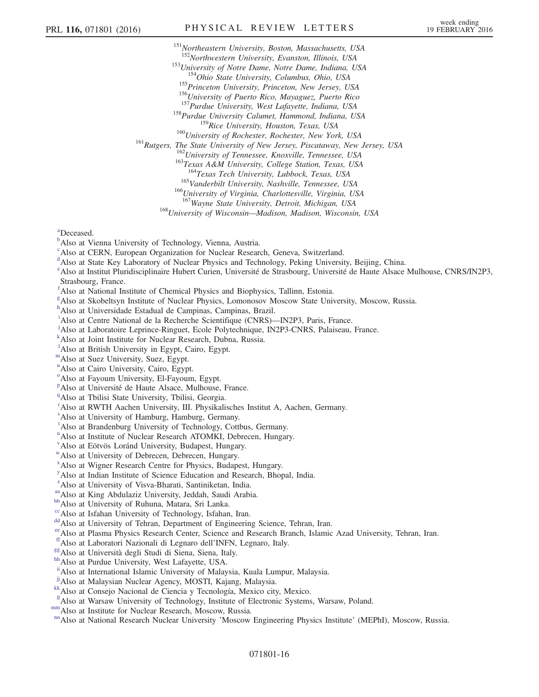$^{151}$ Northeastern University, Boston, Massachusetts, USA<br> $^{152}$ Northwestern University, Evanston, Illinois, USA <sup>153</sup>University of Notre Dame, Notre Dame, Indiana, USA<br><sup>154</sup>Ohio State University, Columbus, Ohio, USA<br><sup>155</sup>Princeton University, Princeton, New Jersey, USA<br><sup>156</sup>University of Puerto Rico, Mayaguez, Puerto Rico<br><sup>157</sup>Purd <sup>160</sup>University of Rochester, Rochester, New York, USA<br><sup>161</sup>Rutgers, The State University of New Jersey, Piscataway, New Jersey, USA<br><sup>162</sup>University of Tennessee, Knoxville, Tennessee, USA<br><sup>164</sup>Texas A&M University, Colle <sup>165</sup>Vanderbilt University, Nashville, Tennessee, USA <sup>166</sup>University of Virginia, Charlottesville, Virginia, USA <sup>167</sup>Wayne State University, Detroit, Michigan, USA <sup>168</sup>University of Wisconsin—Madison, Madison, Wisconsin, USA

<span id="page-15-31"></span>[a](#page-8-0) Deceased.

- <span id="page-15-0"></span><sup>[b](#page-5-23)</sup>Also at Vienna University of Technology, Vienna, Austria.
- <span id="page-15-1"></span><sup>[c](#page-5-24)</sup>Also at CERN, European Organization for Nuclear Research, Geneva, Switzerland.
- <span id="page-15-2"></span><sup>[d](#page-5-25)</sup>Also at State Key Laboratory of Nuclear Physics and Technology, Peking University, Beijing, China.
- <span id="page-15-3"></span>[e](#page-6-0) Also at Institut Pluridisciplinaire Hubert Curien, Université de Strasbourg, Université de Haute Alsace Mulhouse, CNRS/IN2P3, Strasbourg, France.
- <span id="page-15-4"></span>[f](#page-6-1) Also at National Institute of Chemical Physics and Biophysics, Tallinn, Estonia.
- <span id="page-15-5"></span>[g](#page-6-2) Also at Skobeltsyn Institute of Nuclear Physics, Lomonosov Moscow State University, Moscow, Russia.
- <span id="page-15-6"></span><sup>[h](#page-6-3)</sup>Also at Universidade Estadual de Campinas, Campinas, Brazil.
- <span id="page-15-7"></span><sup>[i](#page-6-4)</sup>Also at Centre National de la Recherche Scientifique (CNRS)—IN2P3, Paris, France.
- <span id="page-15-8"></span>[j](#page-6-5) Also at Laboratoire Leprince-Ringuet, Ecole Polytechnique, IN2P3-CNRS, Palaiseau, France.
- <span id="page-15-9"></span>[k](#page-6-6) Also at Joint Institute for Nuclear Research, Dubna, Russia.
- <span id="page-15-10"></span><sup>1</sup>A[l](#page-6-6)so at British University in Egypt, Cairo, Egypt.
- mAlso at Suez University, Suez, Egypt.
- <span id="page-15-11"></span>[n](#page-6-7) Also at Cairo University, Cairo, Egypt.
- <span id="page-15-12"></span><sup>[o](#page-6-7)</sup>Also at Fayoum University, El-Fayoum, Egypt.
- <span id="page-15-13"></span><su[p](#page-6-8)>p</sup>Also at Université de Haute Alsace, Mulhouse, France.
- <span id="page-15-14"></span><sup>[q](#page-6-9)</sup>Also at Tbilisi State University, Tbilisi, Georgia.
- <span id="page-15-15"></span>[r](#page-6-10) Also at RWTH Aachen University, III. Physikalisches Institut A, Aachen, Germany.
- <span id="page-15-16"></span>[s](#page-6-11) Also at University of Hamburg, Hamburg, Germany.
- <span id="page-15-17"></span>[t](#page-6-12) Also at Brandenburg University of Technology, Cottbus, Germany.
- <span id="page-15-18"></span><s[u](#page-7-0)p>u</sup> Also at Institute of Nuclear Research ATOMKI, Debrecen, Hungary.
- <span id="page-15-19"></span>[v](#page-7-0) Also at Eötvös Loránd University, Budapest, Hungary.
- <span id="page-15-20"></span>[w](#page-7-1)Also at University of Debrecen, Debrecen, Hungary.
- <span id="page-15-21"></span>[x](#page-7-1) Also at Wigner Research Centre for Physics, Budapest, Hungary.
- <span id="page-15-22"></span>[y](#page-7-2) Also at Indian Institute of Science Education and Research, Bhopal, India.
- <span id="page-15-23"></span><sup>[z](#page-7-3)</sup>Also at University of Visva-Bharati, Santiniketan, India.
- <span id="page-15-24"></span><sup>[aa](#page-7-4)</sup>Also at King Abdulaziz University, Jeddah, Saudi Arabia.<br><sup>[bb](#page-7-3)</sup>Also at University of Ruhuna, Matara, Sri Lanka.<br><sup>cc</sup>Also at Isfahan University of Technology, Isfahan, Iran.
- <span id="page-15-26"></span><span id="page-15-25"></span>
- 
- <span id="page-15-27"></span><sup>[dd](#page-7-5)</sup> Also at University of Tehran, Department of Engineering Science, Tehran, Iran.
- <span id="page-15-28"></span>[ee](#page-7-6) Also at Plasma Physics Research Center, Science and Research Branch, Islamic Azad University, Tehran, Iran.
- <span id="page-15-29"></span>[ff](#page-7-7)Also at Laboratori Nazionali di Legnaro dell'INFN, Legnaro, Italy. [gg](#page-8-0)Also at Università degli Studi di Siena, Siena, Italy. [hh](#page-8-1)Also at Purdue University, West Lafayette, USA.
- <span id="page-15-32"></span><span id="page-15-30"></span>
- 
- <span id="page-15-33"></span>[ii](#page-8-2) Also at International Islamic University of Malaysia, Kuala Lumpur, Malaysia.<br>
<sup>jj</sup> Also at Malaysian Nuclear Agency, MOSTI, Kajang, Malaysia.
- <span id="page-15-34"></span>
- <span id="page-15-36"></span>
- <span id="page-15-35"></span><sup>[kk](#page-8-3)</sup>Also at Consejo Nacional de Ciencia y Tecnología, Mexico city, Mexico.<br><sup>11</sup>Also at Warsaw University of Technology, Institute of Electronic Systems, Warsaw, Poland.
- <span id="page-15-38"></span>
- <span id="page-15-37"></span>[mm](#page-8-5) Also at Institute for Nuclear Research, Moscow, Russia.<br>[nn](#page-8-6) Also at National Research Nuclear University 'Moscow Engineering Physics Institute' (MEPhI), Moscow, Russia.